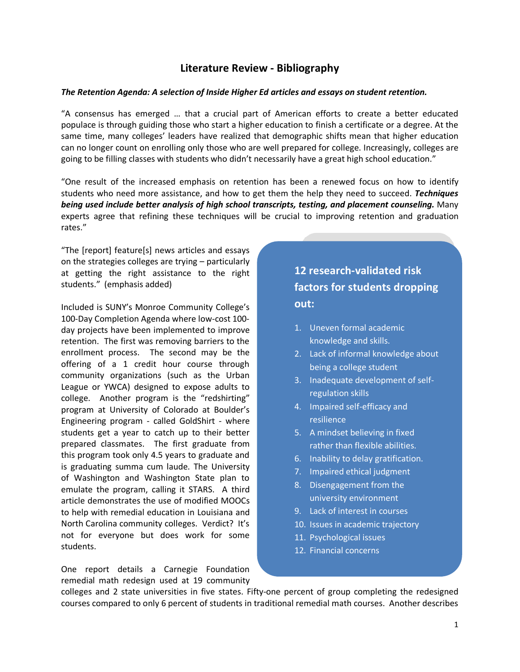## **Literature Review - Bibliography**

#### *The Retention Agenda: A selection of Inside Higher Ed articles and essays on student retention.*

"A consensus has emerged … that a crucial part of American efforts to create a better educated populace is through guiding those who start a higher education to finish a certificate or a degree. At the same time, many colleges' leaders have realized that demographic shifts mean that higher education can no longer count on enrolling only those who are well prepared for college. Increasingly, colleges are going to be filling classes with students who didn't necessarily have a great high school education."

"One result of the increased emphasis on retention has been a renewed focus on how to identify students who need more assistance, and how to get them the help they need to succeed. *Techniques being used include better analysis of high school transcripts, testing, and placement counseling.* Many experts agree that refining these techniques will be crucial to improving retention and graduation rates."

"The [report] feature[s] news articles and essays on the strategies colleges are trying – particularly at getting the right assistance to the right students." (emphasis added)

Included is SUNY's Monroe Community College's 100-Day Completion Agenda where low-cost 100 day projects have been implemented to improve retention. The first was removing barriers to the enrollment process. The second may be the offering of a 1 credit hour course through community organizations (such as the Urban League or YWCA) designed to expose adults to college. Another program is the "redshirting" program at University of Colorado at Boulder's Engineering program - called GoldShirt - where students get a year to catch up to their better prepared classmates. The first graduate from this program took only 4.5 years to graduate and is graduating summa cum laude. The University of Washington and Washington State plan to emulate the program, calling it STARS. A third article demonstrates the use of modified MOOCs to help with remedial education in Louisiana and North Carolina community colleges. Verdict? It's not for everyone but does work for some students.

One report details a Carnegie Foundation remedial math redesign used at 19 community

# **12 research-validated risk factors for students dropping out:**

- 1. Uneven formal academic knowledge and skills.
- 2. Lack of informal knowledge about being a college student
- 3. Inadequate development of selfregulation skills
- 4. Impaired self-efficacy and resilience
- 5. A mindset believing in fixed rather than flexible abilities.
- 6. Inability to delay gratification.
- 7. Impaired ethical judgment
- 8. Disengagement from the university environment
- 9. Lack of interest in courses
- 10. Issues in academic trajectory
- 11. Psychological issues
- 12. Financial concerns

colleges and 2 state universities in five states. Fifty-one percent of group completing the redesigned courses compared to only 6 percent of students in traditional remedial math courses. Another describes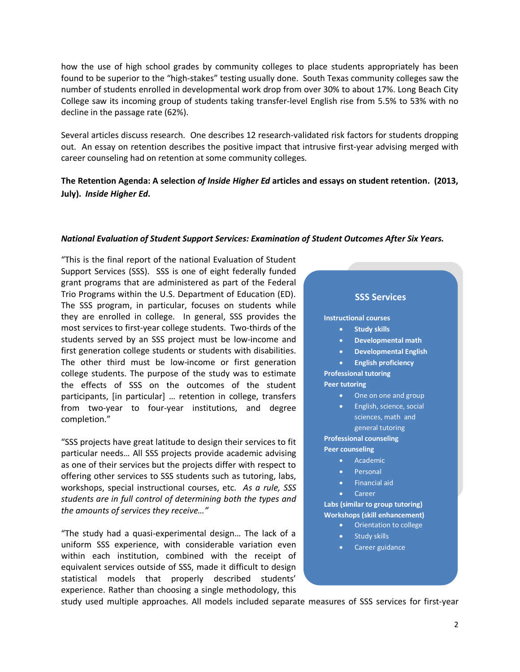how the use of high school grades by community colleges to place students appropriately has been found to be superior to the "high-stakes" testing usually done. South Texas community colleges saw the number of students enrolled in developmental work drop from over 30% to about 17%. Long Beach City College saw its incoming group of students taking transfer-level English rise from 5.5% to 53% with no decline in the passage rate (62%).

Several articles discuss research. One describes 12 research-validated risk factors for students dropping out. An essay on retention describes the positive impact that intrusive first-year advising merged with career counseling had on retention at some community colleges.

## **The Retention Agenda: A selection** *of Inside Higher Ed* **articles and essays on student retention. (2013, July).** *Inside Higher Ed***.**

#### *National Evaluation of Student Support Services: Examination of Student Outcomes After Six Years.*

"This is the final report of the national Evaluation of Student Support Services (SSS). SSS is one of eight federally funded grant programs that are administered as part of the Federal Trio Programs within the U.S. Department of Education (ED). The SSS program, in particular, focuses on students while they are enrolled in college. In general, SSS provides the most services to first-year college students. Two-thirds of the students served by an SSS project must be low-income and first generation college students or students with disabilities. The other third must be low-income or first generation college students. The purpose of the study was to estimate the effects of SSS on the outcomes of the student participants, [in particular] … retention in college, transfers from two-year to four-year institutions, and degree completion."

"SSS projects have great latitude to design their services to fit particular needs… All SSS projects provide academic advising as one of their services but the projects differ with respect to offering other services to SSS students such as tutoring, labs, workshops, special instructional courses, etc. *As a rule, SSS students are in full control of determining both the types and the amounts of services they receive…"*

"The study had a quasi-experimental design… The lack of a uniform SSS experience, with considerable variation even within each institution, combined with the receipt of equivalent services outside of SSS, made it difficult to design statistical models that properly described students' experience. Rather than choosing a single methodology, this

#### **SSS Services**

#### **Instructional courses**

- **Study skills**
- **Developmental math**
- **Developmental English**
- **English proficiency**

**Professional tutoring Peer tutoring**

- One on one and group
- English, science, social sciences, math and general tutoring

### **Professional counseling**

**Peer counseling**

- Academic
- Personal
- Financial aid
	- **Career**

**Labs (similar to group tutoring) Workshops (skill enhancement)**

- Orientation to college
- Study skills
- Career guidance

study used multiple approaches. All models included separate measures of SSS services for first-year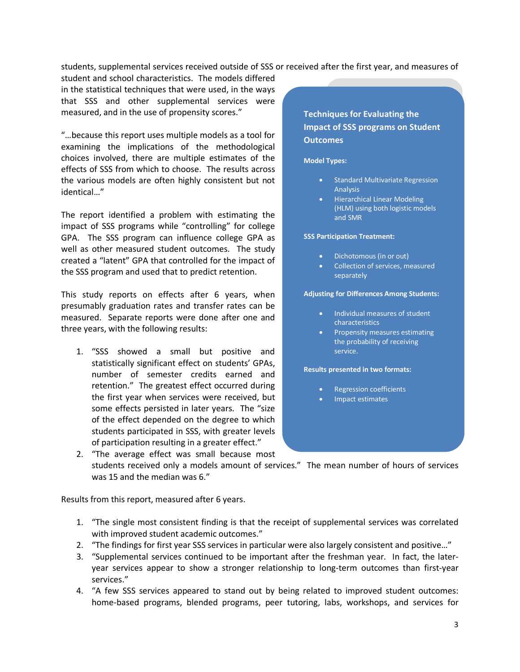students, supplemental services received outside of SSS or received after the first year, and measures of

student and school characteristics. The models differed in the statistical techniques that were used, in the ways that SSS and other supplemental services were measured, and in the use of propensity scores."

"…because this report uses multiple models as a tool for examining the implications of the methodological choices involved, there are multiple estimates of the effects of SSS from which to choose. The results across the various models are often highly consistent but not identical…"

The report identified a problem with estimating the impact of SSS programs while "controlling" for college GPA. The SSS program can influence college GPA as well as other measured student outcomes. The study created a "latent" GPA that controlled for the impact of the SSS program and used that to predict retention.

This study reports on effects after 6 years, when presumably graduation rates and transfer rates can be measured. Separate reports were done after one and three years, with the following results:

1. "SSS showed a small but positive and statistically significant effect on students' GPAs, number of semester credits earned and retention." The greatest effect occurred during the first year when services were received, but some effects persisted in later years. The "size of the effect depended on the degree to which students participated in SSS, with greater levels of participation resulting in a greater effect."

## **Techniques for Evaluating the Impact of SSS programs on Student Outcomes**

#### **Model Types:**

- Standard Multivariate Regression Analysis
- Hierarchical Linear Modeling (HLM) using both logistic models and SMR

#### **SSS Participation Treatment:**

- Dichotomous (in or out)
- Collection of services, measured separately

#### **Adjusting for Differences Among Students:**

- Individual measures of student characteristics
- **Propensity measures estimating** the probability of receiving service.

#### **Results presented in two formats:**

- Regression coefficients
- Impact estimates
- 2. "The average effect was small because most students received only a models amount of services." The mean number of hours of services was 15 and the median was 6."

Results from this report, measured after 6 years.

- 1. "The single most consistent finding is that the receipt of supplemental services was correlated with improved student academic outcomes."
- 2. "The findings for first year SSS services in particular were also largely consistent and positive…"
- 3. "Supplemental services continued to be important after the freshman year. In fact, the lateryear services appear to show a stronger relationship to long-term outcomes than first-year services."
- 4. "A few SSS services appeared to stand out by being related to improved student outcomes: home-based programs, blended programs, peer tutoring, labs, workshops, and services for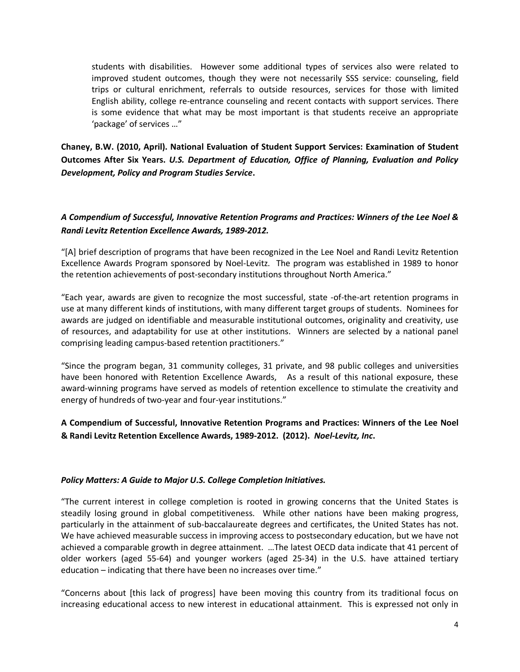students with disabilities. However some additional types of services also were related to improved student outcomes, though they were not necessarily SSS service: counseling, field trips or cultural enrichment, referrals to outside resources, services for those with limited English ability, college re-entrance counseling and recent contacts with support services. There is some evidence that what may be most important is that students receive an appropriate 'package' of services …"

**Chaney, B.W. (2010, April). National Evaluation of Student Support Services: Examination of Student Outcomes After Six Years.** *U.S. Department of Education, Office of Planning, Evaluation and Policy Development, Policy and Program Studies Service***.**

## *A Compendium of Successful, Innovative Retention Programs and Practices: Winners of the Lee Noel & Randi Levitz Retention Excellence Awards, 1989-2012.*

"[A] brief description of programs that have been recognized in the Lee Noel and Randi Levitz Retention Excellence Awards Program sponsored by Noel-Levitz. The program was established in 1989 to honor the retention achievements of post-secondary institutions throughout North America."

"Each year, awards are given to recognize the most successful, state -of-the-art retention programs in use at many different kinds of institutions, with many different target groups of students. Nominees for awards are judged on identifiable and measurable institutional outcomes, originality and creativity, use of resources, and adaptability for use at other institutions. Winners are selected by a national panel comprising leading campus-based retention practitioners."

"Since the program began, 31 community colleges, 31 private, and 98 public colleges and universities have been honored with Retention Excellence Awards, As a result of this national exposure, these award-winning programs have served as models of retention excellence to stimulate the creativity and energy of hundreds of two-year and four-year institutions."

## **A Compendium of Successful, Innovative Retention Programs and Practices: Winners of the Lee Noel & Randi Levitz Retention Excellence Awards, 1989-2012. (2012).** *Noel-Levitz, Inc***.**

### *Policy Matters: A Guide to Major U.S. College Completion Initiatives.*

"The current interest in college completion is rooted in growing concerns that the United States is steadily losing ground in global competitiveness. While other nations have been making progress, particularly in the attainment of sub-baccalaureate degrees and certificates, the United States has not. We have achieved measurable success in improving access to postsecondary education, but we have not achieved a comparable growth in degree attainment. …The latest OECD data indicate that 41 percent of older workers (aged 55-64) and younger workers (aged 25-34) in the U.S. have attained tertiary education – indicating that there have been no increases over time."

"Concerns about [this lack of progress] have been moving this country from its traditional focus on increasing educational access to new interest in educational attainment. This is expressed not only in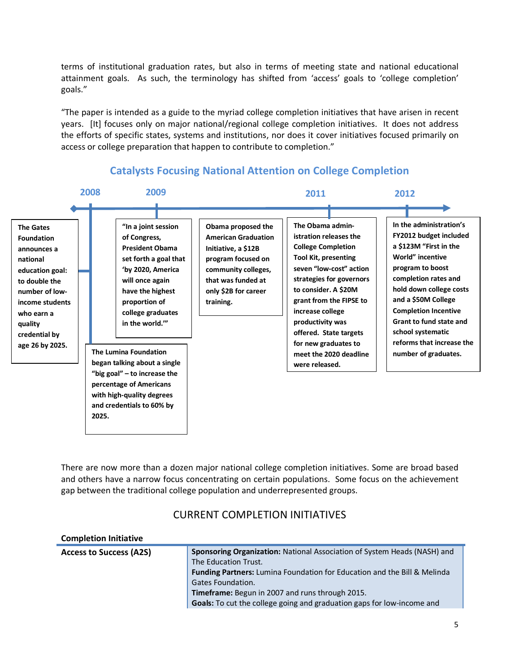terms of institutional graduation rates, but also in terms of meeting state and national educational attainment goals. As such, the terminology has shifted from 'access' goals to 'college completion' goals."

"The paper is intended as a guide to the myriad college completion initiatives that have arisen in recent years. [It] focuses only on major national/regional college completion initiatives. It does not address the efforts of specific states, systems and institutions, nor does it cover initiatives focused primarily on access or college preparation that happen to contribute to completion."



# **Catalysts Focusing National Attention on College Completion**

There are now more than a dozen major national college completion initiatives. Some are broad based and others have a narrow focus concentrating on certain populations. Some focus on the achievement gap between the traditional college population and underrepresented groups.

## CURRENT COMPLETION INITIATIVES

| <b>Completion Initiative</b>   |                                                                                 |
|--------------------------------|---------------------------------------------------------------------------------|
| <b>Access to Success (A2S)</b> | <b>Sponsoring Organization:</b> National Association of System Heads (NASH) and |
|                                | The Education Trust.                                                            |
|                                | <b>Funding Partners:</b> Lumina Foundation for Education and the Bill & Melinda |
|                                | <b>Gates Foundation.</b>                                                        |
|                                | Timeframe: Begun in 2007 and runs through 2015.                                 |
|                                | Goals: To cut the college going and graduation gaps for low-income and          |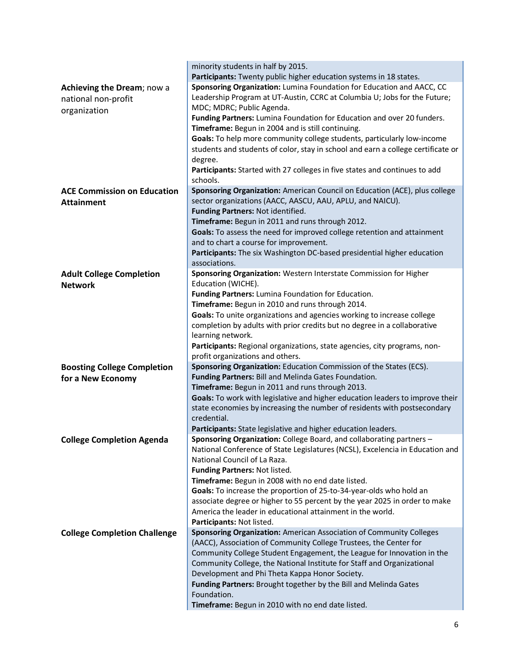|                                     | minority students in half by 2015.                                                                                                          |
|-------------------------------------|---------------------------------------------------------------------------------------------------------------------------------------------|
|                                     | Participants: Twenty public higher education systems in 18 states.                                                                          |
| Achieving the Dream; now a          | Sponsoring Organization: Lumina Foundation for Education and AACC, CC                                                                       |
| national non-profit                 | Leadership Program at UT-Austin, CCRC at Columbia U; Jobs for the Future;                                                                   |
| organization                        | MDC; MDRC; Public Agenda.                                                                                                                   |
|                                     | Funding Partners: Lumina Foundation for Education and over 20 funders.                                                                      |
|                                     | Timeframe: Begun in 2004 and is still continuing.                                                                                           |
|                                     | Goals: To help more community college students, particularly low-income                                                                     |
|                                     | students and students of color, stay in school and earn a college certificate or                                                            |
|                                     | degree.                                                                                                                                     |
|                                     | Participants: Started with 27 colleges in five states and continues to add                                                                  |
|                                     | schools.                                                                                                                                    |
| <b>ACE Commission on Education</b>  | Sponsoring Organization: American Council on Education (ACE), plus college                                                                  |
| <b>Attainment</b>                   | sector organizations (AACC, AASCU, AAU, APLU, and NAICU).                                                                                   |
|                                     | Funding Partners: Not identified.                                                                                                           |
|                                     | Timeframe: Begun in 2011 and runs through 2012.                                                                                             |
|                                     | Goals: To assess the need for improved college retention and attainment                                                                     |
|                                     | and to chart a course for improvement.                                                                                                      |
|                                     | Participants: The six Washington DC-based presidential higher education                                                                     |
|                                     | associations.                                                                                                                               |
| <b>Adult College Completion</b>     | Sponsoring Organization: Western Interstate Commission for Higher                                                                           |
| <b>Network</b>                      | Education (WICHE).                                                                                                                          |
|                                     | Funding Partners: Lumina Foundation for Education.                                                                                          |
|                                     | Timeframe: Begun in 2010 and runs through 2014.                                                                                             |
|                                     | Goals: To unite organizations and agencies working to increase college                                                                      |
|                                     | completion by adults with prior credits but no degree in a collaborative                                                                    |
|                                     | learning network.                                                                                                                           |
|                                     |                                                                                                                                             |
|                                     | Participants: Regional organizations, state agencies, city programs, non-                                                                   |
|                                     | profit organizations and others.                                                                                                            |
| <b>Boosting College Completion</b>  | Sponsoring Organization: Education Commission of the States (ECS).                                                                          |
| for a New Economy                   | Funding Partners: Bill and Melinda Gates Foundation.                                                                                        |
|                                     | Timeframe: Begun in 2011 and runs through 2013.                                                                                             |
|                                     | Goals: To work with legislative and higher education leaders to improve their                                                               |
|                                     | state economies by increasing the number of residents with postsecondary                                                                    |
|                                     | credential.                                                                                                                                 |
|                                     | Participants: State legislative and higher education leaders.                                                                               |
| <b>College Completion Agenda</b>    | Sponsoring Organization: College Board, and collaborating partners -                                                                        |
|                                     | National Conference of State Legislatures (NCSL), Excelencia in Education and                                                               |
|                                     | National Council of La Raza.                                                                                                                |
|                                     | Funding Partners: Not listed.                                                                                                               |
|                                     | Timeframe: Begun in 2008 with no end date listed.                                                                                           |
|                                     | Goals: To increase the proportion of 25-to-34-year-olds who hold an                                                                         |
|                                     | associate degree or higher to 55 percent by the year 2025 in order to make                                                                  |
|                                     | America the leader in educational attainment in the world.                                                                                  |
|                                     | Participants: Not listed.                                                                                                                   |
| <b>College Completion Challenge</b> | Sponsoring Organization: American Association of Community Colleges                                                                         |
|                                     | (AACC), Association of Community College Trustees, the Center for<br>Community College Student Engagement, the League for Innovation in the |
|                                     | Community College, the National Institute for Staff and Organizational                                                                      |
|                                     | Development and Phi Theta Kappa Honor Society.                                                                                              |
|                                     | Funding Partners: Brought together by the Bill and Melinda Gates                                                                            |
|                                     | Foundation.                                                                                                                                 |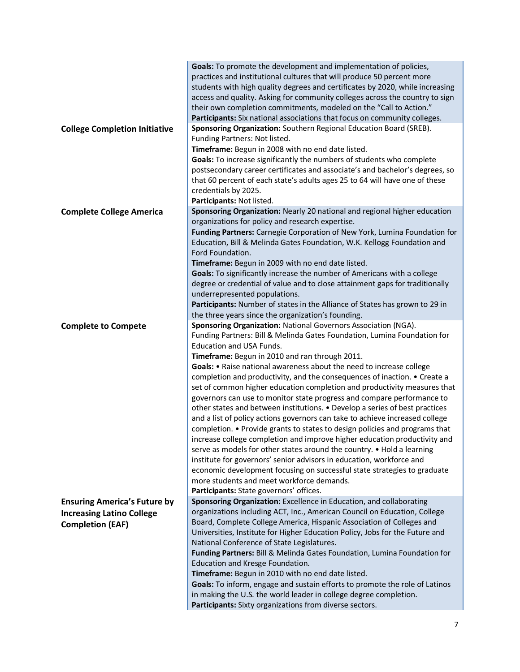| <b>College Completion Initiative</b> | Goals: To promote the development and implementation of policies,<br>practices and institutional cultures that will produce 50 percent more<br>students with high quality degrees and certificates by 2020, while increasing<br>access and quality. Asking for community colleges across the country to sign<br>their own completion commitments, modeled on the "Call to Action."<br>Participants: Six national associations that focus on community colleges.<br>Sponsoring Organization: Southern Regional Education Board (SREB). |
|--------------------------------------|---------------------------------------------------------------------------------------------------------------------------------------------------------------------------------------------------------------------------------------------------------------------------------------------------------------------------------------------------------------------------------------------------------------------------------------------------------------------------------------------------------------------------------------|
|                                      | Funding Partners: Not listed.                                                                                                                                                                                                                                                                                                                                                                                                                                                                                                         |
|                                      | Timeframe: Begun in 2008 with no end date listed.                                                                                                                                                                                                                                                                                                                                                                                                                                                                                     |
|                                      | Goals: To increase significantly the numbers of students who complete<br>postsecondary career certificates and associate's and bachelor's degrees, so<br>that 60 percent of each state's adults ages 25 to 64 will have one of these<br>credentials by 2025.                                                                                                                                                                                                                                                                          |
|                                      | Participants: Not listed.                                                                                                                                                                                                                                                                                                                                                                                                                                                                                                             |
| <b>Complete College America</b>      | Sponsoring Organization: Nearly 20 national and regional higher education                                                                                                                                                                                                                                                                                                                                                                                                                                                             |
|                                      | organizations for policy and research expertise.                                                                                                                                                                                                                                                                                                                                                                                                                                                                                      |
|                                      | Funding Partners: Carnegie Corporation of New York, Lumina Foundation for                                                                                                                                                                                                                                                                                                                                                                                                                                                             |
|                                      | Education, Bill & Melinda Gates Foundation, W.K. Kellogg Foundation and                                                                                                                                                                                                                                                                                                                                                                                                                                                               |
|                                      | Ford Foundation.                                                                                                                                                                                                                                                                                                                                                                                                                                                                                                                      |
|                                      | Timeframe: Begun in 2009 with no end date listed.                                                                                                                                                                                                                                                                                                                                                                                                                                                                                     |
|                                      | Goals: To significantly increase the number of Americans with a college                                                                                                                                                                                                                                                                                                                                                                                                                                                               |
|                                      | degree or credential of value and to close attainment gaps for traditionally                                                                                                                                                                                                                                                                                                                                                                                                                                                          |
|                                      | underrepresented populations.                                                                                                                                                                                                                                                                                                                                                                                                                                                                                                         |
|                                      | Participants: Number of states in the Alliance of States has grown to 29 in                                                                                                                                                                                                                                                                                                                                                                                                                                                           |
|                                      | the three years since the organization's founding.<br>Sponsoring Organization: National Governors Association (NGA).                                                                                                                                                                                                                                                                                                                                                                                                                  |
| <b>Complete to Compete</b>           | Funding Partners: Bill & Melinda Gates Foundation, Lumina Foundation for                                                                                                                                                                                                                                                                                                                                                                                                                                                              |
|                                      | Education and USA Funds.                                                                                                                                                                                                                                                                                                                                                                                                                                                                                                              |
|                                      | Timeframe: Begun in 2010 and ran through 2011.                                                                                                                                                                                                                                                                                                                                                                                                                                                                                        |
|                                      | Goals: • Raise national awareness about the need to increase college                                                                                                                                                                                                                                                                                                                                                                                                                                                                  |
|                                      | completion and productivity, and the consequences of inaction. • Create a                                                                                                                                                                                                                                                                                                                                                                                                                                                             |
|                                      | set of common higher education completion and productivity measures that                                                                                                                                                                                                                                                                                                                                                                                                                                                              |
|                                      | governors can use to monitor state progress and compare performance to                                                                                                                                                                                                                                                                                                                                                                                                                                                                |
|                                      | other states and between institutions. • Develop a series of best practices                                                                                                                                                                                                                                                                                                                                                                                                                                                           |
|                                      | and a list of policy actions governors can take to achieve increased college                                                                                                                                                                                                                                                                                                                                                                                                                                                          |
|                                      | completion. • Provide grants to states to design policies and programs that                                                                                                                                                                                                                                                                                                                                                                                                                                                           |
|                                      | increase college completion and improve higher education productivity and                                                                                                                                                                                                                                                                                                                                                                                                                                                             |
|                                      | serve as models for other states around the country. • Hold a learning                                                                                                                                                                                                                                                                                                                                                                                                                                                                |
|                                      | institute for governors' senior advisors in education, workforce and                                                                                                                                                                                                                                                                                                                                                                                                                                                                  |
|                                      | economic development focusing on successful state strategies to graduate                                                                                                                                                                                                                                                                                                                                                                                                                                                              |
|                                      | more students and meet workforce demands.                                                                                                                                                                                                                                                                                                                                                                                                                                                                                             |
|                                      | Participants: State governors' offices.                                                                                                                                                                                                                                                                                                                                                                                                                                                                                               |
| <b>Ensuring America's Future by</b>  | Sponsoring Organization: Excellence in Education, and collaborating                                                                                                                                                                                                                                                                                                                                                                                                                                                                   |
| <b>Increasing Latino College</b>     | organizations including ACT, Inc., American Council on Education, College                                                                                                                                                                                                                                                                                                                                                                                                                                                             |
| <b>Completion (EAF)</b>              | Board, Complete College America, Hispanic Association of Colleges and                                                                                                                                                                                                                                                                                                                                                                                                                                                                 |
|                                      | Universities, Institute for Higher Education Policy, Jobs for the Future and                                                                                                                                                                                                                                                                                                                                                                                                                                                          |
|                                      | National Conference of State Legislatures.                                                                                                                                                                                                                                                                                                                                                                                                                                                                                            |
|                                      | Funding Partners: Bill & Melinda Gates Foundation, Lumina Foundation for                                                                                                                                                                                                                                                                                                                                                                                                                                                              |
|                                      | Education and Kresge Foundation.                                                                                                                                                                                                                                                                                                                                                                                                                                                                                                      |
|                                      | Timeframe: Begun in 2010 with no end date listed.                                                                                                                                                                                                                                                                                                                                                                                                                                                                                     |
|                                      | Goals: To inform, engage and sustain efforts to promote the role of Latinos                                                                                                                                                                                                                                                                                                                                                                                                                                                           |
|                                      | in making the U.S. the world leader in college degree completion.<br>Participants: Sixty organizations from diverse sectors.                                                                                                                                                                                                                                                                                                                                                                                                          |
|                                      |                                                                                                                                                                                                                                                                                                                                                                                                                                                                                                                                       |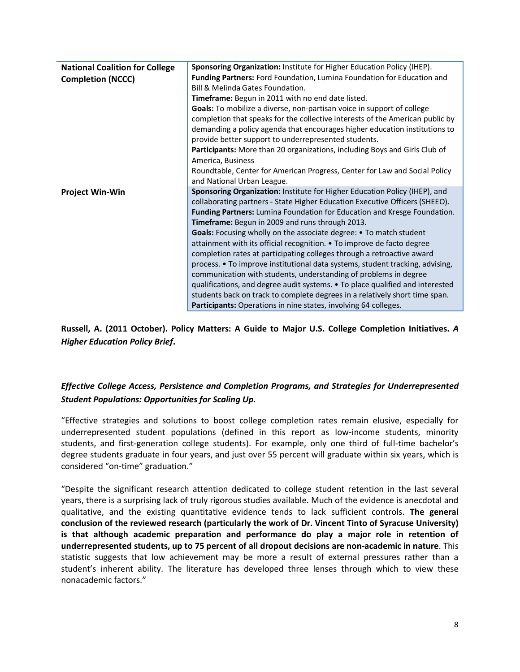| <b>National Coalition for College</b> | Sponsoring Organization: Institute for Higher Education Policy (IHEP).        |
|---------------------------------------|-------------------------------------------------------------------------------|
| <b>Completion (NCCC)</b>              | Funding Partners: Ford Foundation, Lumina Foundation for Education and        |
|                                       | Bill & Melinda Gates Foundation.                                              |
|                                       | <b>Timeframe:</b> Begun in 2011 with no end date listed.                      |
|                                       | Goals: To mobilize a diverse, non-partisan voice in support of college        |
|                                       | completion that speaks for the collective interests of the American public by |
|                                       | demanding a policy agenda that encourages higher education institutions to    |
|                                       | provide better support to underrepresented students.                          |
|                                       | Participants: More than 20 organizations, including Boys and Girls Club of    |
|                                       | America, Business                                                             |
|                                       | Roundtable, Center for American Progress, Center for Law and Social Policy    |
|                                       | and National Urban League.                                                    |
| <b>Project Win-Win</b>                | Sponsoring Organization: Institute for Higher Education Policy (IHEP), and    |
|                                       | collaborating partners - State Higher Education Executive Officers (SHEEO).   |
|                                       | Funding Partners: Lumina Foundation for Education and Kresge Foundation.      |
|                                       | Timeframe: Begun in 2009 and runs through 2013.                               |
|                                       | Goals: Focusing wholly on the associate degree: • To match student            |
|                                       | attainment with its official recognition. • To improve de facto degree        |
|                                       | completion rates at participating colleges through a retroactive award        |
|                                       | process. • To improve institutional data systems, student tracking, advising, |
|                                       | communication with students, understanding of problems in degree              |
|                                       | qualifications, and degree audit systems. • To place qualified and interested |
|                                       | students back on track to complete degrees in a relatively short time span.   |
|                                       | Participants: Operations in nine states, involving 64 colleges.               |

**Russell, A. (2011 October). Policy Matters: A Guide to Major U.S. College Completion Initiatives.** *A Higher Education Policy Brief***.**

## *Effective College Access, Persistence and Completion Programs, and Strategies for Underrepresented Student Populations: Opportunities for Scaling Up.*

"Effective strategies and solutions to boost college completion rates remain elusive, especially for underrepresented student populations (defined in this report as low-income students, minority students, and first-generation college students). For example, only one third of full-time bachelor's degree students graduate in four years, and just over 55 percent will graduate within six years, which is considered "on-time" graduation."

"Despite the significant research attention dedicated to college student retention in the last several years, there is a surprising lack of truly rigorous studies available. Much of the evidence is anecdotal and qualitative, and the existing quantitative evidence tends to lack sufficient controls. **The general conclusion of the reviewed research (particularly the work of Dr. Vincent Tinto of Syracuse University) is that although academic preparation and performance do play a major role in retention of underrepresented students, up to 75 percent of all dropout decisions are non-academic in nature**. This statistic suggests that low achievement may be more a result of external pressures rather than a student's inherent ability. The literature has developed three lenses through which to view these nonacademic factors."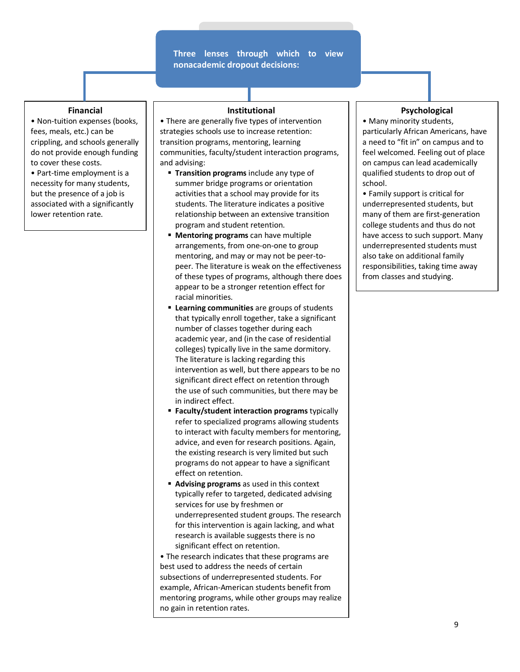#### **Three lenses through which to view nonacademic dropout decisions:**

#### **Financial**

• Non-tuition expenses (books, fees, meals, etc.) can be crippling, and schools generally do not provide enough funding to cover these costs.

• Part-time employment is a necessity for many students, but the presence of a job is associated with a significantly lower retention rate.

#### **Institutional**

• There are generally five types of intervention strategies schools use to increase retention: transition programs, mentoring, learning communities, faculty/student interaction programs, and advising:

- **Transition programs** include any type of summer bridge programs or orientation activities that a school may provide for its students. The literature indicates a positive relationship between an extensive transition program and student retention.
- **Mentoring programs** can have multiple arrangements, from one-on-one to group mentoring, and may or may not be peer-topeer. The literature is weak on the effectiveness of these types of programs, although there does appear to be a stronger retention effect for racial minorities.
- **Learning communities** are groups of students that typically enroll together, take a significant number of classes together during each academic year, and (in the case of residential colleges) typically live in the same dormitory. The literature is lacking regarding this intervention as well, but there appears to be no significant direct effect on retention through the use of such communities, but there may be in indirect effect.
- **Faculty/student interaction programs** typically refer to specialized programs allowing students to interact with faculty members for mentoring, advice, and even for research positions. Again, the existing research is very limited but such programs do not appear to have a significant effect on retention.
- **Advising programs** as used in this context typically refer to targeted, dedicated advising services for use by freshmen or underrepresented student groups. The research for this intervention is again lacking, and what research is available suggests there is no significant effect on retention.

• The research indicates that these programs are best used to address the needs of certain subsections of underrepresented students. For example, African-American students benefit from mentoring programs, while other groups may realize no gain in retention rates.

#### **Psychological**

• Many minority students, particularly African Americans, have a need to "fit in" on campus and to feel welcomed. Feeling out of place on campus can lead academically qualified students to drop out of school.

• Family support is critical for underrepresented students, but many of them are first-generation college students and thus do not have access to such support. Many underrepresented students must also take on additional family responsibilities, taking time away from classes and studying.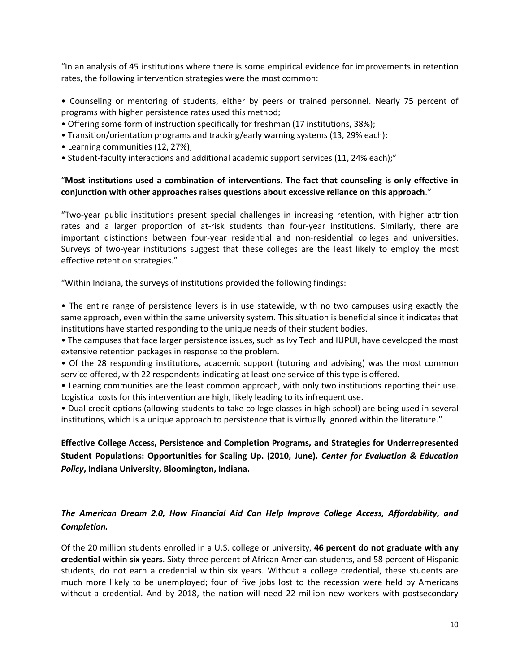"In an analysis of 45 institutions where there is some empirical evidence for improvements in retention rates, the following intervention strategies were the most common:

• Counseling or mentoring of students, either by peers or trained personnel. Nearly 75 percent of programs with higher persistence rates used this method;

- Offering some form of instruction specifically for freshman (17 institutions, 38%);
- Transition/orientation programs and tracking/early warning systems (13, 29% each);
- Learning communities (12, 27%);
- Student-faculty interactions and additional academic support services (11, 24% each);"

### "**Most institutions used a combination of interventions. The fact that counseling is only effective in conjunction with other approaches raises questions about excessive reliance on this approach**."

"Two-year public institutions present special challenges in increasing retention, with higher attrition rates and a larger proportion of at-risk students than four-year institutions. Similarly, there are important distinctions between four-year residential and non-residential colleges and universities. Surveys of two-year institutions suggest that these colleges are the least likely to employ the most effective retention strategies."

"Within Indiana, the surveys of institutions provided the following findings:

• The entire range of persistence levers is in use statewide, with no two campuses using exactly the same approach, even within the same university system. This situation is beneficial since it indicates that institutions have started responding to the unique needs of their student bodies.

• The campuses that face larger persistence issues, such as Ivy Tech and IUPUI, have developed the most extensive retention packages in response to the problem.

• Of the 28 responding institutions, academic support (tutoring and advising) was the most common service offered, with 22 respondents indicating at least one service of this type is offered.

• Learning communities are the least common approach, with only two institutions reporting their use. Logistical costs for this intervention are high, likely leading to its infrequent use.

• Dual-credit options (allowing students to take college classes in high school) are being used in several institutions, which is a unique approach to persistence that is virtually ignored within the literature."

**Effective College Access, Persistence and Completion Programs, and Strategies for Underrepresented Student Populations: Opportunities for Scaling Up. (2010, June).** *Center for Evaluation & Education Policy***, Indiana University, Bloomington, Indiana.**

### *The American Dream 2.0, How Financial Aid Can Help Improve College Access, Affordability, and Completion.*

Of the 20 million students enrolled in a U.S. college or university, **46 percent do not graduate with any credential within six years**. Sixty-three percent of African American students, and 58 percent of Hispanic students, do not earn a credential within six years. Without a college credential, these students are much more likely to be unemployed; four of five jobs lost to the recession were held by Americans without a credential. And by 2018, the nation will need 22 million new workers with postsecondary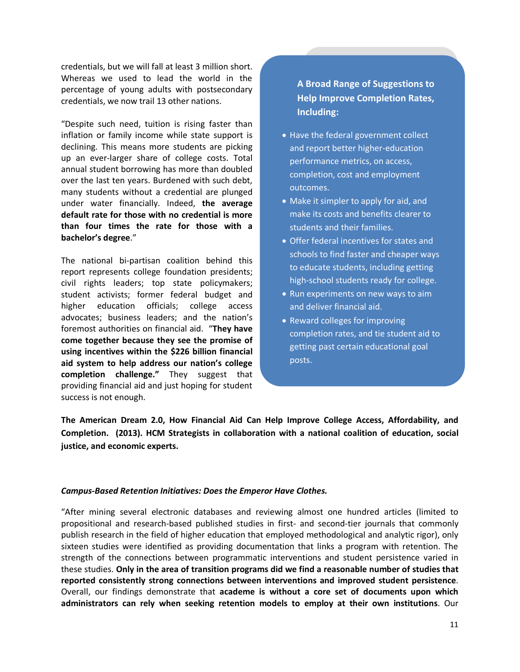credentials, but we will fall at least 3 million short. Whereas we used to lead the world in the percentage of young adults with postsecondary credentials, we now trail 13 other nations.

"Despite such need, tuition is rising faster than inflation or family income while state support is declining. This means more students are picking up an ever-larger share of college costs. Total annual student borrowing has more than doubled over the last ten years. Burdened with such debt, many students without a credential are plunged under water financially. Indeed, **the average default rate for those with no credential is more than four times the rate for those with a bachelor's degree**."

The national bi-partisan coalition behind this report represents college foundation presidents; civil rights leaders; top state policymakers; student activists; former federal budget and higher education officials; college access advocates; business leaders; and the nation's foremost authorities on financial aid. "**They have come together because they see the promise of using incentives within the \$226 billion financial aid system to help address our nation's college completion challenge."** They suggest that providing financial aid and just hoping for student success is not enough.

# **A Broad Range of Suggestions to Help Improve Completion Rates, Including:**

- Have the federal government collect and report better higher-education performance metrics, on access, completion, cost and employment outcomes.
- Make it simpler to apply for aid, and make its costs and benefits clearer to students and their families.
- Offer federal incentives for states and schools to find faster and cheaper ways to educate students, including getting high-school students ready for college.
- Run experiments on new ways to aim and deliver financial aid.
- Reward colleges for improving completion rates, and tie student aid to getting past certain educational goal posts.

**The American Dream 2.0, How Financial Aid Can Help Improve College Access, Affordability, and Completion. (2013). HCM Strategists in collaboration with a national coalition of education, social justice, and economic experts.**

### *Campus-Based Retention Initiatives: Does the Emperor Have Clothes.*

"After mining several electronic databases and reviewing almost one hundred articles (limited to propositional and research-based published studies in first- and second-tier journals that commonly publish research in the field of higher education that employed methodological and analytic rigor), only sixteen studies were identified as providing documentation that links a program with retention. The strength of the connections between programmatic interventions and student persistence varied in these studies. **Only in the area of transition programs did we find a reasonable number of studies that reported consistently strong connections between interventions and improved student persistence**. Overall, our findings demonstrate that **academe is without a core set of documents upon which administrators can rely when seeking retention models to employ at their own institutions**. Our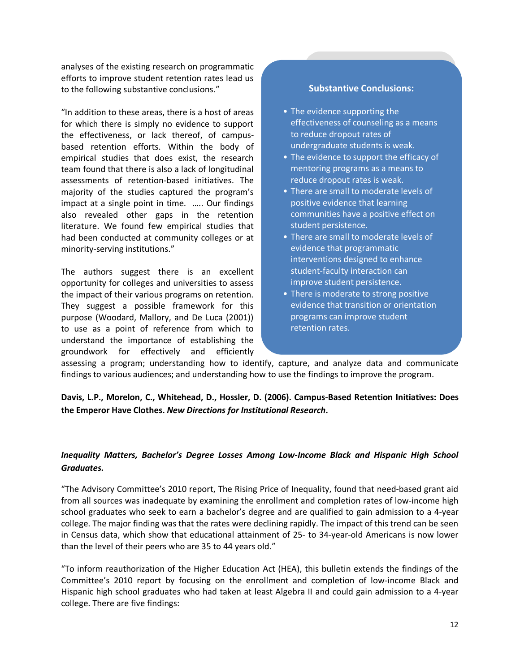analyses of the existing research on programmatic efforts to improve student retention rates lead us to the following substantive conclusions."

"In addition to these areas, there is a host of areas for which there is simply no evidence to support the effectiveness, or lack thereof, of campusbased retention efforts. Within the body of empirical studies that does exist, the research team found that there is also a lack of longitudinal assessments of retention-based initiatives. The majority of the studies captured the program's impact at a single point in time. ….. Our findings also revealed other gaps in the retention literature. We found few empirical studies that had been conducted at community colleges or at minority-serving institutions."

The authors suggest there is an excellent opportunity for colleges and universities to assess the impact of their various programs on retention. They suggest a possible framework for this purpose (Woodard, Mallory, and De Luca (2001)) to use as a point of reference from which to understand the importance of establishing the groundwork for effectively and efficiently

### **Substantive Conclusions:**

- The evidence supporting the effectiveness of counseling as a means to reduce dropout rates of undergraduate students is weak.
- The evidence to support the efficacy of mentoring programs as a means to reduce dropout rates is weak.
- There are small to moderate levels of positive evidence that learning communities have a positive effect on student persistence.
- There are small to moderate levels of evidence that programmatic interventions designed to enhance student-faculty interaction can improve student persistence.
- There is moderate to strong positive evidence that transition or orientation programs can improve student retention rates.

assessing a program; understanding how to identify, capture, and analyze data and communicate findings to various audiences; and understanding how to use the findings to improve the program.

## **Davis, L.P., Morelon, C., Whitehead, D., Hossler, D. (2006). Campus-Based Retention Initiatives: Does the Emperor Have Clothes.** *New Directions for Institutional Research***.**

### *Inequality Matters, Bachelor's Degree Losses Among Low-Income Black and Hispanic High School Graduates.*

"The Advisory Committee's 2010 report, The Rising Price of Inequality, found that need-based grant aid from all sources was inadequate by examining the enrollment and completion rates of low-income high school graduates who seek to earn a bachelor's degree and are qualified to gain admission to a 4-year college. The major finding was that the rates were declining rapidly. The impact of this trend can be seen in Census data, which show that educational attainment of 25- to 34-year-old Americans is now lower than the level of their peers who are 35 to 44 years old."

"To inform reauthorization of the Higher Education Act (HEA), this bulletin extends the findings of the Committee's 2010 report by focusing on the enrollment and completion of low-income Black and Hispanic high school graduates who had taken at least Algebra II and could gain admission to a 4-year college. There are five findings: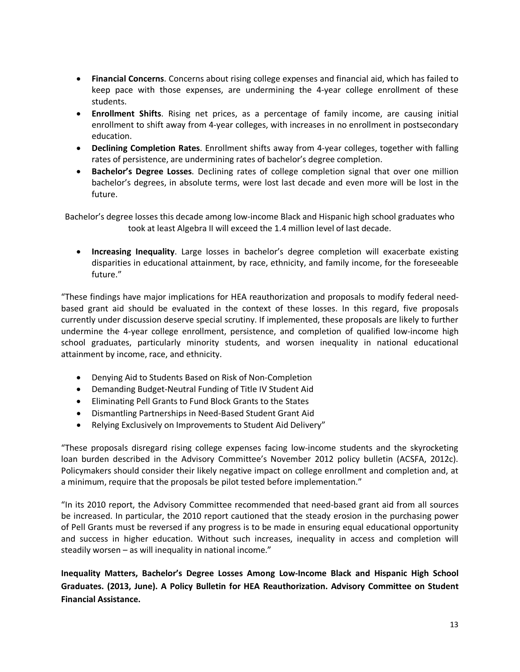- **Financial Concerns**. Concerns about rising college expenses and financial aid, which has failed to keep pace with those expenses, are undermining the 4-year college enrollment of these students.
- **Enrollment Shifts**. Rising net prices, as a percentage of family income, are causing initial enrollment to shift away from 4-year colleges, with increases in no enrollment in postsecondary education.
- **Declining Completion Rates**. Enrollment shifts away from 4-year colleges, together with falling rates of persistence, are undermining rates of bachelor's degree completion.
- **Bachelor's Degree Losses**. Declining rates of college completion signal that over one million bachelor's degrees, in absolute terms, were lost last decade and even more will be lost in the future.

Bachelor's degree losses this decade among low-income Black and Hispanic high school graduates who took at least Algebra II will exceed the 1.4 million level of last decade.

• **Increasing Inequality**. Large losses in bachelor's degree completion will exacerbate existing disparities in educational attainment, by race, ethnicity, and family income, for the foreseeable future."

"These findings have major implications for HEA reauthorization and proposals to modify federal needbased grant aid should be evaluated in the context of these losses. In this regard, five proposals currently under discussion deserve special scrutiny. If implemented, these proposals are likely to further undermine the 4-year college enrollment, persistence, and completion of qualified low-income high school graduates, particularly minority students, and worsen inequality in national educational attainment by income, race, and ethnicity.

- Denying Aid to Students Based on Risk of Non-Completion
- Demanding Budget-Neutral Funding of Title IV Student Aid
- Eliminating Pell Grants to Fund Block Grants to the States
- Dismantling Partnerships in Need-Based Student Grant Aid
- Relying Exclusively on Improvements to Student Aid Delivery"

"These proposals disregard rising college expenses facing low-income students and the skyrocketing loan burden described in the Advisory Committee's November 2012 policy bulletin (ACSFA, 2012c). Policymakers should consider their likely negative impact on college enrollment and completion and, at a minimum, require that the proposals be pilot tested before implementation."

"In its 2010 report, the Advisory Committee recommended that need-based grant aid from all sources be increased. In particular, the 2010 report cautioned that the steady erosion in the purchasing power of Pell Grants must be reversed if any progress is to be made in ensuring equal educational opportunity and success in higher education. Without such increases, inequality in access and completion will steadily worsen – as will inequality in national income."

**Inequality Matters, Bachelor's Degree Losses Among Low-Income Black and Hispanic High School Graduates. (2013, June). A Policy Bulletin for HEA Reauthorization. Advisory Committee on Student Financial Assistance.**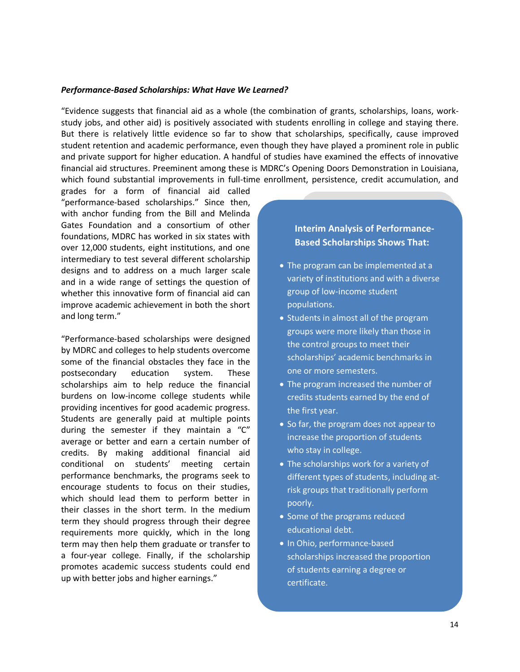#### *Performance-Based Scholarships: What Have We Learned?*

"Evidence suggests that financial aid as a whole (the combination of grants, scholarships, loans, workstudy jobs, and other aid) is positively associated with students enrolling in college and staying there. But there is relatively little evidence so far to show that scholarships, specifically, cause improved student retention and academic performance, even though they have played a prominent role in public and private support for higher education. A handful of studies have examined the effects of innovative financial aid structures. Preeminent among these is MDRC's Opening Doors Demonstration in Louisiana, which found substantial improvements in full-time enrollment, persistence, credit accumulation, and

grades for a form of financial aid called "performance-based scholarships." Since then, with anchor funding from the Bill and Melinda Gates Foundation and a consortium of other foundations, MDRC has worked in six states with over 12,000 students, eight institutions, and one intermediary to test several different scholarship designs and to address on a much larger scale and in a wide range of settings the question of whether this innovative form of financial aid can improve academic achievement in both the short and long term."

"Performance-based scholarships were designed by MDRC and colleges to help students overcome some of the financial obstacles they face in the postsecondary education system. These scholarships aim to help reduce the financial burdens on low-income college students while providing incentives for good academic progress. Students are generally paid at multiple points during the semester if they maintain a "C" average or better and earn a certain number of credits. By making additional financial aid conditional on students' meeting certain performance benchmarks, the programs seek to encourage students to focus on their studies, which should lead them to perform better in their classes in the short term. In the medium term they should progress through their degree requirements more quickly, which in the long term may then help them graduate or transfer to a four-year college. Finally, if the scholarship promotes academic success students could end up with better jobs and higher earnings."

## **Interim Analysis of Performance-Based Scholarships Shows That:**

- The program can be implemented at a variety of institutions and with a diverse group of low-income student populations.
- Students in almost all of the program groups were more likely than those in the control groups to meet their scholarships' academic benchmarks in one or more semesters.
- The program increased the number of credits students earned by the end of the first year.
- So far, the program does not appear to increase the proportion of students who stay in college.
- The scholarships work for a variety of different types of students, including atrisk groups that traditionally perform poorly.
- Some of the programs reduced educational debt.
- In Ohio, performance-based scholarships increased the proportion of students earning a degree or certificate.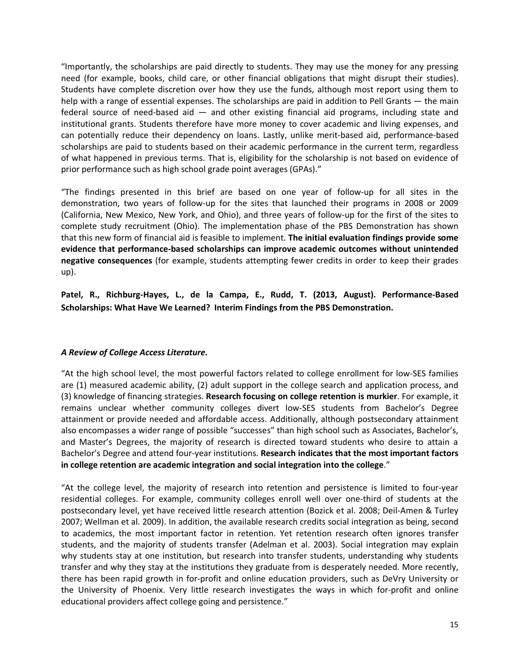"Importantly, the scholarships are paid directly to students. They may use the money for any pressing need (for example, books, child care, or other financial obligations that might disrupt their studies). Students have complete discretion over how they use the funds, although most report using them to help with a range of essential expenses. The scholarships are paid in addition to Pell Grants — the main federal source of need-based aid — and other existing financial aid programs, including state and institutional grants. Students therefore have more money to cover academic and living expenses, and can potentially reduce their dependency on loans. Lastly, unlike merit-based aid, performance-based scholarships are paid to students based on their academic performance in the current term, regardless of what happened in previous terms. That is, eligibility for the scholarship is not based on evidence of prior performance such as high school grade point averages (GPAs)."

"The findings presented in this brief are based on one year of follow-up for all sites in the demonstration, two years of follow-up for the sites that launched their programs in 2008 or 2009 (California, New Mexico, New York, and Ohio), and three years of follow-up for the first of the sites to complete study recruitment (Ohio). The implementation phase of the PBS Demonstration has shown that this new form of financial aid is feasible to implement. **The initial evaluation findings provide some evidence that performance-based scholarships can improve academic outcomes without unintended negative consequences** (for example, students attempting fewer credits in order to keep their grades up).

**Patel, R., Richburg-Hayes, L., de la Campa, E., Rudd, T. (2013, August). Performance-Based Scholarships: What Have We Learned? Interim Findings from the PBS Demonstration.**

### *A Review of College Access Literature.*

"At the high school level, the most powerful factors related to college enrollment for low-SES families are (1) measured academic ability, (2) adult support in the college search and application process, and (3) knowledge of financing strategies. **Research focusing on college retention is murkier**. For example, it remains unclear whether community colleges divert low-SES students from Bachelor's Degree attainment or provide needed and affordable access. Additionally, although postsecondary attainment also encompasses a wider range of possible "successes" than high school such as Associates, Bachelor's, and Master's Degrees, the majority of research is directed toward students who desire to attain a Bachelor's Degree and attend four-year institutions. **Research indicates that the most important factors in college retention are academic integration and social integration into the college**."

"At the college level, the majority of research into retention and persistence is limited to four-year residential colleges. For example, community colleges enroll well over one-third of students at the postsecondary level, yet have received little research attention (Bozick et al. 2008; Deil-Amen & Turley 2007; Wellman et al. 2009). In addition, the available research credits social integration as being, second to academics, the most important factor in retention. Yet retention research often ignores transfer students, and the majority of students transfer (Adelman et al. 2003). Social integration may explain why students stay at one institution, but research into transfer students, understanding why students transfer and why they stay at the institutions they graduate from is desperately needed. More recently, there has been rapid growth in for-profit and online education providers, such as DeVry University or the University of Phoenix. Very little research investigates the ways in which for-profit and online educational providers affect college going and persistence."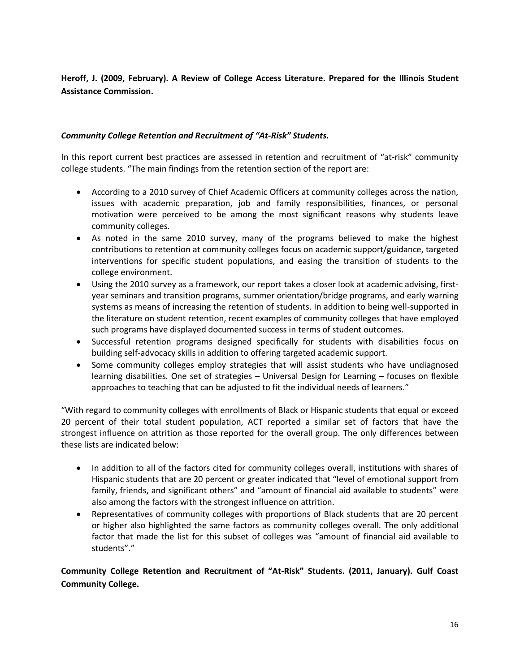**Heroff, J. (2009, February). A Review of College Access Literature. Prepared for the Illinois Student Assistance Commission.**

### *Community College Retention and Recruitment of "At-Risk" Students.*

In this report current best practices are assessed in retention and recruitment of "at-risk" community college students. "The main findings from the retention section of the report are:

- According to a 2010 survey of Chief Academic Officers at community colleges across the nation, issues with academic preparation, job and family responsibilities, finances, or personal motivation were perceived to be among the most significant reasons why students leave community colleges.
- As noted in the same 2010 survey, many of the programs believed to make the highest contributions to retention at community colleges focus on academic support/guidance, targeted interventions for specific student populations, and easing the transition of students to the college environment.
- Using the 2010 survey as a framework, our report takes a closer look at academic advising, firstyear seminars and transition programs, summer orientation/bridge programs, and early warning systems as means of increasing the retention of students. In addition to being well-supported in the literature on student retention, recent examples of community colleges that have employed such programs have displayed documented success in terms of student outcomes.
- Successful retention programs designed specifically for students with disabilities focus on building self-advocacy skills in addition to offering targeted academic support.
- Some community colleges employ strategies that will assist students who have undiagnosed learning disabilities. One set of strategies – Universal Design for Learning – focuses on flexible approaches to teaching that can be adjusted to fit the individual needs of learners."

"With regard to community colleges with enrollments of Black or Hispanic students that equal or exceed 20 percent of their total student population, ACT reported a similar set of factors that have the strongest influence on attrition as those reported for the overall group. The only differences between these lists are indicated below:

- In addition to all of the factors cited for community colleges overall, institutions with shares of Hispanic students that are 20 percent or greater indicated that "level of emotional support from family, friends, and significant others" and "amount of financial aid available to students" were also among the factors with the strongest influence on attrition.
- Representatives of community colleges with proportions of Black students that are 20 percent or higher also highlighted the same factors as community colleges overall. The only additional factor that made the list for this subset of colleges was "amount of financial aid available to students"."

**Community College Retention and Recruitment of "At-Risk" Students. (2011, January). Gulf Coast Community College.**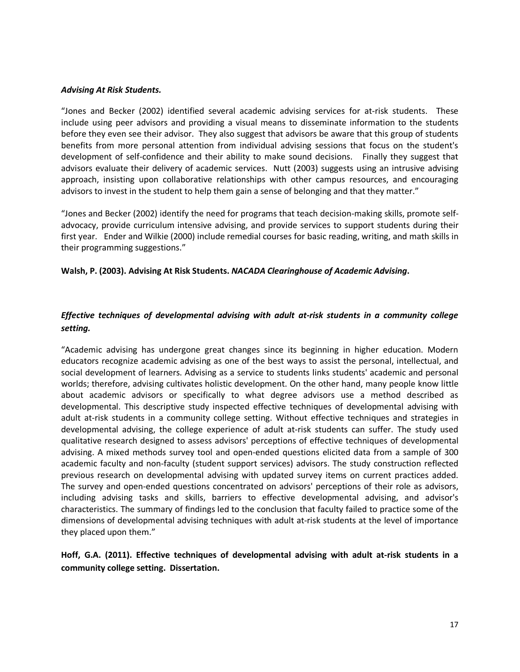#### *Advising At Risk Students.*

"Jones and Becker (2002) identified several academic advising services for at-risk students. These include using peer advisors and providing a visual means to disseminate information to the students before they even see their advisor. They also suggest that advisors be aware that this group of students benefits from more personal attention from individual advising sessions that focus on the student's development of self-confidence and their ability to make sound decisions. Finally they suggest that advisors evaluate their delivery of academic services. Nutt (2003) suggests using an intrusive advising approach, insisting upon collaborative relationships with other campus resources, and encouraging advisors to invest in the student to help them gain a sense of belonging and that they matter."

"Jones and Becker (2002) identify the need for programs that teach decision-making skills, promote selfadvocacy, provide curriculum intensive advising, and provide services to support students during their first year. Ender and Wilkie (2000) include remedial courses for basic reading, writing, and math skills in their programming suggestions."

### **Walsh, P. (2003). Advising At Risk Students.** *NACADA Clearinghouse of Academic Advising***.**

## *Effective techniques of developmental advising with adult at-risk students in a community college setting.*

"Academic advising has undergone great changes since its beginning in higher education. Modern educators recognize academic advising as one of the best ways to assist the personal, intellectual, and social development of learners. Advising as a service to students links students' academic and personal worlds; therefore, advising cultivates holistic development. On the other hand, many people know little about academic advisors or specifically to what degree advisors use a method described as developmental. This descriptive study inspected effective techniques of developmental advising with adult at-risk students in a community college setting. Without effective techniques and strategies in developmental advising, the college experience of adult at-risk students can suffer. The study used qualitative research designed to assess advisors' perceptions of effective techniques of developmental advising. A mixed methods survey tool and open-ended questions elicited data from a sample of 300 academic faculty and non-faculty (student support services) advisors. The study construction reflected previous research on developmental advising with updated survey items on current practices added. The survey and open-ended questions concentrated on advisors' perceptions of their role as advisors, including advising tasks and skills, barriers to effective developmental advising, and advisor's characteristics. The summary of findings led to the conclusion that faculty failed to practice some of the dimensions of developmental advising techniques with adult at-risk students at the level of importance they placed upon them."

## **Hoff, G.A. (2011). Effective techniques of developmental advising with adult at-risk students in a community college setting. Dissertation.**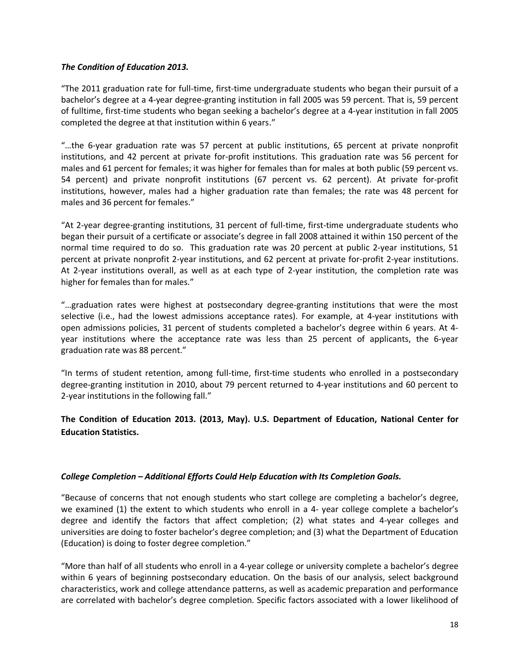### *The Condition of Education 2013.*

"The 2011 graduation rate for full-time, first-time undergraduate students who began their pursuit of a bachelor's degree at a 4-year degree-granting institution in fall 2005 was 59 percent. That is, 59 percent of fulltime, first-time students who began seeking a bachelor's degree at a 4-year institution in fall 2005 completed the degree at that institution within 6 years."

"…the 6-year graduation rate was 57 percent at public institutions, 65 percent at private nonprofit institutions, and 42 percent at private for-profit institutions. This graduation rate was 56 percent for males and 61 percent for females; it was higher for females than for males at both public (59 percent vs. 54 percent) and private nonprofit institutions (67 percent vs. 62 percent). At private for-profit institutions, however, males had a higher graduation rate than females; the rate was 48 percent for males and 36 percent for females."

"At 2-year degree-granting institutions, 31 percent of full-time, first-time undergraduate students who began their pursuit of a certificate or associate's degree in fall 2008 attained it within 150 percent of the normal time required to do so. This graduation rate was 20 percent at public 2-year institutions, 51 percent at private nonprofit 2-year institutions, and 62 percent at private for-profit 2-year institutions. At 2-year institutions overall, as well as at each type of 2-year institution, the completion rate was higher for females than for males."

"…graduation rates were highest at postsecondary degree-granting institutions that were the most selective (i.e., had the lowest admissions acceptance rates). For example, at 4-year institutions with open admissions policies, 31 percent of students completed a bachelor's degree within 6 years. At 4 year institutions where the acceptance rate was less than 25 percent of applicants, the 6-year graduation rate was 88 percent."

"In terms of student retention, among full-time, first-time students who enrolled in a postsecondary degree-granting institution in 2010, about 79 percent returned to 4-year institutions and 60 percent to 2-year institutions in the following fall."

## **The Condition of Education 2013. (2013, May). U.S. Department of Education, National Center for Education Statistics.**

### *College Completion – Additional Efforts Could Help Education with Its Completion Goals.*

"Because of concerns that not enough students who start college are completing a bachelor's degree, we examined (1) the extent to which students who enroll in a 4- year college complete a bachelor's degree and identify the factors that affect completion; (2) what states and 4-year colleges and universities are doing to foster bachelor's degree completion; and (3) what the Department of Education (Education) is doing to foster degree completion."

"More than half of all students who enroll in a 4-year college or university complete a bachelor's degree within 6 years of beginning postsecondary education. On the basis of our analysis, select background characteristics, work and college attendance patterns, as well as academic preparation and performance are correlated with bachelor's degree completion. Specific factors associated with a lower likelihood of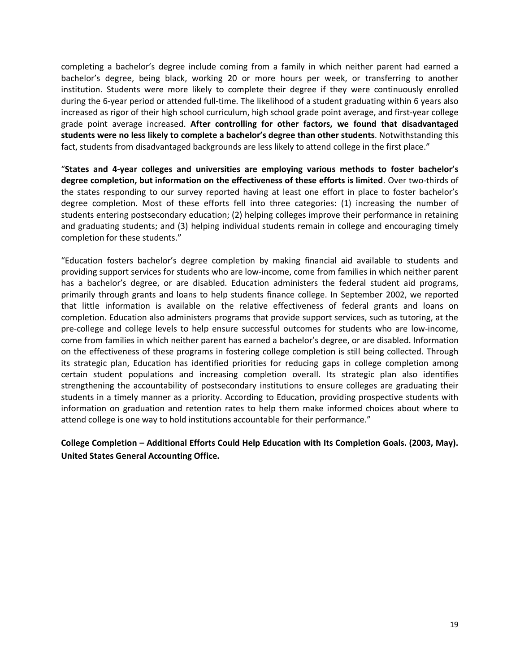completing a bachelor's degree include coming from a family in which neither parent had earned a bachelor's degree, being black, working 20 or more hours per week, or transferring to another institution. Students were more likely to complete their degree if they were continuously enrolled during the 6-year period or attended full-time. The likelihood of a student graduating within 6 years also increased as rigor of their high school curriculum, high school grade point average, and first-year college grade point average increased. **After controlling for other factors, we found that disadvantaged students were no less likely to complete a bachelor's degree than other students**. Notwithstanding this fact, students from disadvantaged backgrounds are less likely to attend college in the first place."

"**States and 4-year colleges and universities are employing various methods to foster bachelor's degree completion, but information on the effectiveness of these efforts is limited**. Over two-thirds of the states responding to our survey reported having at least one effort in place to foster bachelor's degree completion. Most of these efforts fell into three categories: (1) increasing the number of students entering postsecondary education; (2) helping colleges improve their performance in retaining and graduating students; and (3) helping individual students remain in college and encouraging timely completion for these students."

"Education fosters bachelor's degree completion by making financial aid available to students and providing support services for students who are low-income, come from families in which neither parent has a bachelor's degree, or are disabled. Education administers the federal student aid programs, primarily through grants and loans to help students finance college. In September 2002, we reported that little information is available on the relative effectiveness of federal grants and loans on completion. Education also administers programs that provide support services, such as tutoring, at the pre-college and college levels to help ensure successful outcomes for students who are low-income, come from families in which neither parent has earned a bachelor's degree, or are disabled. Information on the effectiveness of these programs in fostering college completion is still being collected. Through its strategic plan, Education has identified priorities for reducing gaps in college completion among certain student populations and increasing completion overall. Its strategic plan also identifies strengthening the accountability of postsecondary institutions to ensure colleges are graduating their students in a timely manner as a priority. According to Education, providing prospective students with information on graduation and retention rates to help them make informed choices about where to attend college is one way to hold institutions accountable for their performance."

**College Completion – Additional Efforts Could Help Education with Its Completion Goals. (2003, May). United States General Accounting Office.**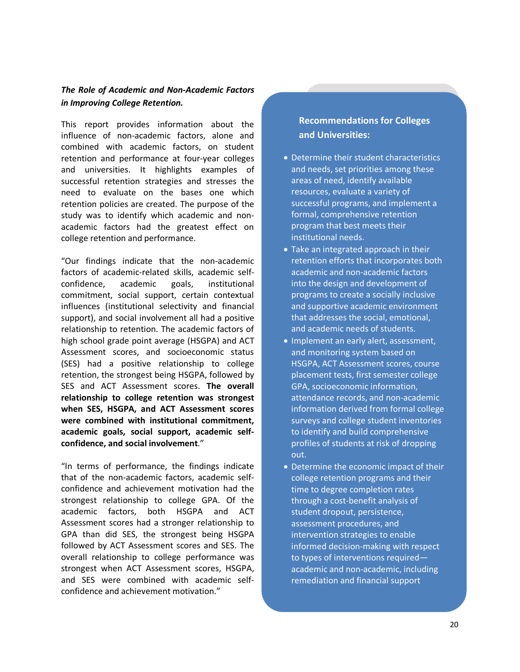## *The Role of Academic and Non-Academic Factors in Improving College Retention.*

This report provides information about the influence of non-academic factors, alone and combined with academic factors, on student retention and performance at four-year colleges and universities. It highlights examples of successful retention strategies and stresses the need to evaluate on the bases one which retention policies are created. The purpose of the study was to identify which academic and nonacademic factors had the greatest effect on college retention and performance.

"Our findings indicate that the non-academic factors of academic-related skills, academic selfconfidence, academic goals, institutional commitment, social support, certain contextual influences (institutional selectivity and financial support), and social involvement all had a positive relationship to retention. The academic factors of high school grade point average (HSGPA) and ACT Assessment scores, and socioeconomic status (SES) had a positive relationship to college retention, the strongest being HSGPA, followed by SES and ACT Assessment scores. **The overall relationship to college retention was strongest when SES, HSGPA, and ACT Assessment scores were combined with institutional commitment, academic goals, social support, academic selfconfidence, and social involvement**."

"In terms of performance, the findings indicate that of the non-academic factors, academic selfconfidence and achievement motivation had the strongest relationship to college GPA. Of the academic factors, both HSGPA and ACT Assessment scores had a stronger relationship to GPA than did SES, the strongest being HSGPA followed by ACT Assessment scores and SES. The overall relationship to college performance was strongest when ACT Assessment scores, HSGPA, and SES were combined with academic selfconfidence and achievement motivation."

## **Recommendations for Colleges and Universities:**

- Determine their student characteristics and needs, set priorities among these areas of need, identify available resources, evaluate a variety of successful programs, and implement a formal, comprehensive retention program that best meets their institutional needs.
- Take an integrated approach in their retention efforts that incorporates both academic and non-academic factors into the design and development of programs to create a socially inclusive and supportive academic environment that addresses the social, emotional, and academic needs of students.
- Implement an early alert, assessment, and monitoring system based on HSGPA, ACT Assessment scores, course placement tests, first semester college GPA, socioeconomic information, attendance records, and non-academic information derived from formal college surveys and college student inventories to identify and build comprehensive profiles of students at risk of dropping out.
- Determine the economic impact of their college retention programs and their time to degree completion rates through a cost-benefit analysis of student dropout, persistence, assessment procedures, and intervention strategies to enable informed decision-making with respect to types of interventions required academic and non-academic, including remediation and financial support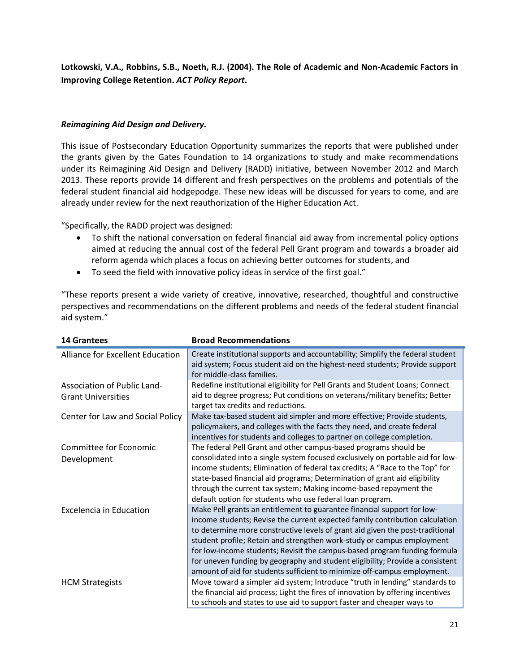**Lotkowski, V.A., Robbins, S.B., Noeth, R.J. (2004). The Role of Academic and Non-Academic Factors in Improving College Retention.** *ACT Policy Report***.**

### *Reimagining Aid Design and Delivery.*

This issue of Postsecondary Education Opportunity summarizes the reports that were published under the grants given by the Gates Foundation to 14 organizations to study and make recommendations under its Reimagining Aid Design and Delivery (RADD) initiative, between November 2012 and March 2013. These reports provide 14 different and fresh perspectives on the problems and potentials of the federal student financial aid hodgepodge. These new ideas will be discussed for years to come, and are already under review for the next reauthorization of the Higher Education Act.

"Specifically, the RADD project was designed:

- To shift the national conversation on federal financial aid away from incremental policy options aimed at reducing the annual cost of the federal Pell Grant program and towards a broader aid reform agenda which places a focus on achieving better outcomes for students, and
- To seed the field with innovative policy ideas in service of the first goal."

"These reports present a wide variety of creative, innovative, researched, thoughtful and constructive perspectives and recommendations on the different problems and needs of the federal student financial aid system."

| <b>14 Grantees</b>                                       | <b>Broad Recommendations</b>                                                                                                                                                                                                                                                                                                                                                                                                                                 |
|----------------------------------------------------------|--------------------------------------------------------------------------------------------------------------------------------------------------------------------------------------------------------------------------------------------------------------------------------------------------------------------------------------------------------------------------------------------------------------------------------------------------------------|
| Alliance for Excellent Education                         | Create institutional supports and accountability; Simplify the federal student<br>aid system; Focus student aid on the highest-need students; Provide support<br>for middle-class families.                                                                                                                                                                                                                                                                  |
| Association of Public Land-<br><b>Grant Universities</b> | Redefine institutional eligibility for Pell Grants and Student Loans; Connect<br>aid to degree progress; Put conditions on veterans/military benefits; Better<br>target tax credits and reductions.                                                                                                                                                                                                                                                          |
| Center for Law and Social Policy                         | Make tax-based student aid simpler and more effective; Provide students,<br>policymakers, and colleges with the facts they need, and create federal<br>incentives for students and colleges to partner on college completion.                                                                                                                                                                                                                                |
| Committee for Economic<br>Development                    | The federal Pell Grant and other campus-based programs should be<br>consolidated into a single system focused exclusively on portable aid for low-<br>income students; Elimination of federal tax credits; A "Race to the Top" for<br>state-based financial aid programs; Determination of grant aid eligibility<br>through the current tax system; Making income-based repayment the                                                                        |
| <b>Excelencia in Education</b>                           | default option for students who use federal loan program.<br>Make Pell grants an entitlement to guarantee financial support for low-<br>income students; Revise the current expected family contribution calculation<br>to determine more constructive levels of grant aid given the post-traditional<br>student profile; Retain and strengthen work-study or campus employment<br>for low-income students; Revisit the campus-based program funding formula |
| <b>HCM Strategists</b>                                   | for uneven funding by geography and student eligibility; Provide a consistent<br>amount of aid for students sufficient to minimize off-campus employment.<br>Move toward a simpler aid system; Introduce "truth in lending" standards to<br>the financial aid process; Light the fires of innovation by offering incentives<br>to schools and states to use aid to support faster and cheaper ways to                                                        |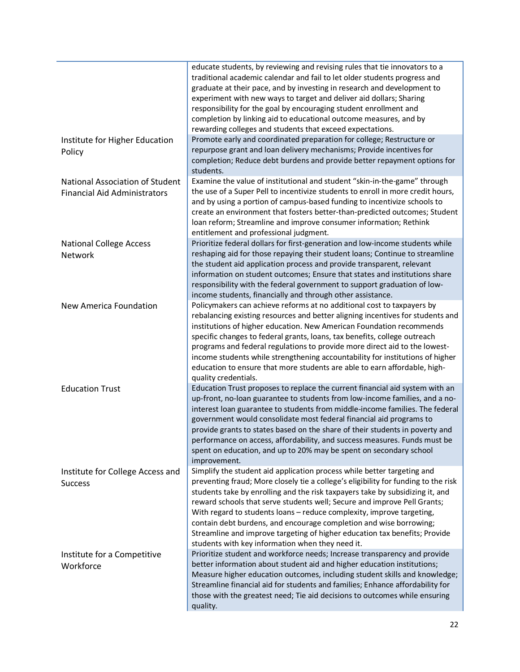|                                                                               | educate students, by reviewing and revising rules that tie innovators to a<br>traditional academic calendar and fail to let older students progress and<br>graduate at their pace, and by investing in research and development to<br>experiment with new ways to target and deliver aid dollars; Sharing<br>responsibility for the goal by encouraging student enrollment and<br>completion by linking aid to educational outcome measures, and by<br>rewarding colleges and students that exceed expectations.                                                                                            |
|-------------------------------------------------------------------------------|-------------------------------------------------------------------------------------------------------------------------------------------------------------------------------------------------------------------------------------------------------------------------------------------------------------------------------------------------------------------------------------------------------------------------------------------------------------------------------------------------------------------------------------------------------------------------------------------------------------|
| Institute for Higher Education<br>Policy                                      | Promote early and coordinated preparation for college; Restructure or<br>repurpose grant and loan delivery mechanisms; Provide incentives for<br>completion; Reduce debt burdens and provide better repayment options for<br>students.                                                                                                                                                                                                                                                                                                                                                                      |
| <b>National Association of Student</b><br><b>Financial Aid Administrators</b> | Examine the value of institutional and student "skin-in-the-game" through<br>the use of a Super Pell to incentivize students to enroll in more credit hours,<br>and by using a portion of campus-based funding to incentivize schools to<br>create an environment that fosters better-than-predicted outcomes; Student<br>Ioan reform; Streamline and improve consumer information; Rethink<br>entitlement and professional judgment.                                                                                                                                                                       |
| <b>National College Access</b><br>Network                                     | Prioritize federal dollars for first-generation and low-income students while<br>reshaping aid for those repaying their student loans; Continue to streamline<br>the student aid application process and provide transparent, relevant<br>information on student outcomes; Ensure that states and institutions share<br>responsibility with the federal government to support graduation of low-<br>income students, financially and through other assistance.                                                                                                                                              |
| New America Foundation                                                        | Policymakers can achieve reforms at no additional cost to taxpayers by<br>rebalancing existing resources and better aligning incentives for students and<br>institutions of higher education. New American Foundation recommends<br>specific changes to federal grants, loans, tax benefits, college outreach<br>programs and federal regulations to provide more direct aid to the lowest-<br>income students while strengthening accountability for institutions of higher<br>education to ensure that more students are able to earn affordable, high-<br>quality credentials.                           |
| <b>Education Trust</b>                                                        | Education Trust proposes to replace the current financial aid system with an<br>up-front, no-loan guarantee to students from low-income families, and a no-<br>interest loan guarantee to students from middle-income families. The federal<br>government would consolidate most federal financial aid programs to<br>provide grants to states based on the share of their students in poverty and<br>performance on access, affordability, and success measures. Funds must be<br>spent on education, and up to 20% may be spent on secondary school<br>improvement.                                       |
| Institute for College Access and<br><b>Success</b>                            | Simplify the student aid application process while better targeting and<br>preventing fraud; More closely tie a college's eligibility for funding to the risk<br>students take by enrolling and the risk taxpayers take by subsidizing it, and<br>reward schools that serve students well; Secure and improve Pell Grants;<br>With regard to students loans - reduce complexity, improve targeting,<br>contain debt burdens, and encourage completion and wise borrowing;<br>Streamline and improve targeting of higher education tax benefits; Provide<br>students with key information when they need it. |
| Institute for a Competitive<br>Workforce                                      | Prioritize student and workforce needs; Increase transparency and provide<br>better information about student aid and higher education institutions;<br>Measure higher education outcomes, including student skills and knowledge;<br>Streamline financial aid for students and families; Enhance affordability for<br>those with the greatest need; Tie aid decisions to outcomes while ensuring<br>quality.                                                                                                                                                                                               |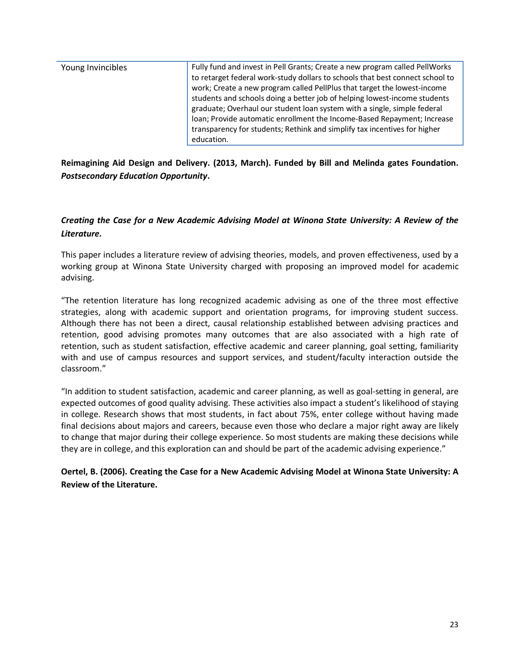| to retarget federal work-study dollars to schools that best connect school to<br>work; Create a new program called PellPlus that target the lowest-income<br>students and schools doing a better job of helping lowest-income students<br>graduate; Overhaul our student loan system with a single, simple federal<br>Ioan; Provide automatic enrollment the Income-Based Repayment; Increase<br>transparency for students; Rethink and simplify tax incentives for higher<br>education. |
|------------------------------------------------------------------------------------------------------------------------------------------------------------------------------------------------------------------------------------------------------------------------------------------------------------------------------------------------------------------------------------------------------------------------------------------------------------------------------------------|
|------------------------------------------------------------------------------------------------------------------------------------------------------------------------------------------------------------------------------------------------------------------------------------------------------------------------------------------------------------------------------------------------------------------------------------------------------------------------------------------|

**Reimagining Aid Design and Delivery. (2013, March). Funded by Bill and Melinda gates Foundation.**  *Postsecondary Education Opportunity***.**

## *Creating the Case for a New Academic Advising Model at Winona State University: A Review of the Literature.*

This paper includes a literature review of advising theories, models, and proven effectiveness, used by a working group at Winona State University charged with proposing an improved model for academic advising.

"The retention literature has long recognized academic advising as one of the three most effective strategies, along with academic support and orientation programs, for improving student success. Although there has not been a direct, causal relationship established between advising practices and retention, good advising promotes many outcomes that are also associated with a high rate of retention, such as student satisfaction, effective academic and career planning, goal setting, familiarity with and use of campus resources and support services, and student/faculty interaction outside the classroom."

"In addition to student satisfaction, academic and career planning, as well as goal-setting in general, are expected outcomes of good quality advising. These activities also impact a student's likelihood of staying in college. Research shows that most students, in fact about 75%, enter college without having made final decisions about majors and careers, because even those who declare a major right away are likely to change that major during their college experience. So most students are making these decisions while they are in college, and this exploration can and should be part of the academic advising experience."

**Oertel, B. (2006). Creating the Case for a New Academic Advising Model at Winona State University: A Review of the Literature.**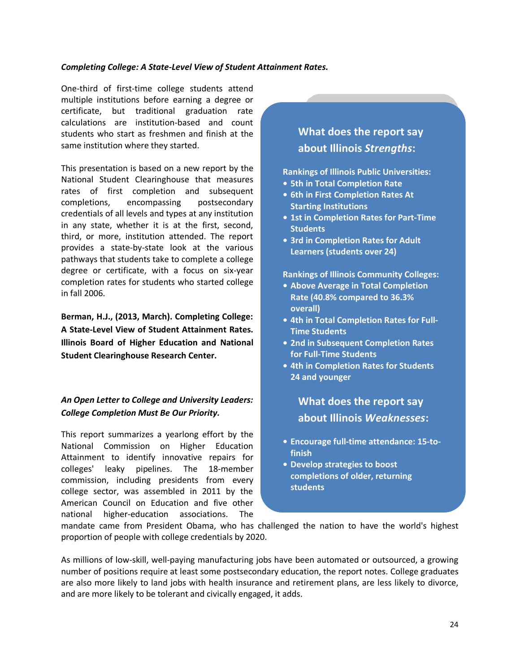#### *Completing College: A State-Level View of Student Attainment Rates.*

One-third of first-time college students attend multiple institutions before earning a degree or certificate, but traditional graduation rate calculations are institution-based and count students who start as freshmen and finish at the same institution where they started.

This presentation is based on a new report by the National Student Clearinghouse that measures rates of first completion and subsequent completions, encompassing postsecondary credentials of all levels and types at any institution in any state, whether it is at the first, second, third, or more, institution attended. The report provides a state-by-state look at the various pathways that students take to complete a college degree or certificate, with a focus on six-year completion rates for students who started college in fall 2006.

**Berman, H.J., (2013, March). Completing College: A State-Level View of Student Attainment Rates. Illinois Board of Higher Education and National Student Clearinghouse Research Center.**

## *An Open Letter to College and University Leaders: College Completion Must Be Our Priority.*

This report summarizes a yearlong effort by the National Commission on Higher Education Attainment to identify innovative repairs for colleges' leaky pipelines. The 18-member commission, including presidents from every college sector, was assembled in 2011 by the American Council on Education and five other national higher-education associations. The

# **What does the report say about Illinois** *Strengths***:**

**Rankings of Illinois Public Universities:**

- **• 5th in Total Completion Rate**
- **• 6th in First Completion Rates At Starting Institutions**
- **• 1st in Completion Rates for Part-Time Students**
- **• 3rd in Completion Rates for Adult Learners (students over 24)**

**Rankings of Illinois Community Colleges:**

- **• Above Average in Total Completion Rate (40.8% compared to 36.3% overall)**
- **• 4th in Total Completion Rates for Full-Time Students**
- **• 2nd in Subsequent Completion Rates for Full-Time Students**
- **• 4th in Completion Rates for Students 24 and younger**

**What does the report say about Illinois** *Weaknesses***:**

- **• Encourage full-time attendance: 15-tofinish**
- **• Develop strategies to boost completions of older, returning students**

mandate came from President Obama, who has challenged the nation to have the world's highest proportion of people with college credentials by 2020.

As millions of low-skill, well-paying manufacturing jobs have been automated or outsourced, a growing number of positions require at least some postsecondary education, the report notes. College graduates are also more likely to land jobs with health insurance and retirement plans, are less likely to divorce, and are more likely to be tolerant and civically engaged, it adds.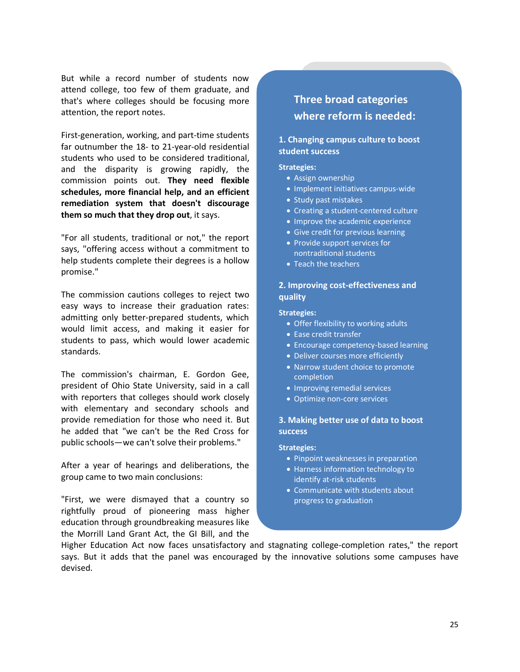But while a record number of students now attend college, too few of them graduate, and that's where colleges should be focusing more attention, the report notes.

First-generation, working, and part-time students far outnumber the 18- to 21-year-old residential students who used to be considered traditional, and the disparity is growing rapidly, the commission points out. **They need flexible schedules, more financial help, and an efficient remediation system that doesn't discourage them so much that they drop out**, it says.

"For all students, traditional or not," the report says, "offering access without a commitment to help students complete their degrees is a hollow promise."

The commission cautions colleges to reject two easy ways to increase their graduation rates: admitting only better-prepared students, which would limit access, and making it easier for students to pass, which would lower academic standards.

The commission's chairman, E. Gordon Gee, president of Ohio State University, said in a call with reporters that colleges should work closely with elementary and secondary schools and provide remediation for those who need it. But he added that "we can't be the Red Cross for public schools—we can't solve their problems."

After a year of hearings and deliberations, the group came to two main conclusions:

"First, we were dismayed that a country so rightfully proud of pioneering mass higher education through groundbreaking measures like the Morrill Land Grant Act, the GI Bill, and the

# **Three broad categories where reform is needed:**

### **1. Changing campus culture to boost student success**

#### **Strategies:**

- Assign ownership
- Implement initiatives campus-wide
- Study past mistakes
- Creating a student-centered culture
- Improve the academic experience
- Give credit for previous learning
- Provide support services for nontraditional students
- Teach the teachers

#### **2. Improving cost-effectiveness and quality**

#### **Strategies:**

- Offer flexibility to working adults
- Ease credit transfer
- Encourage competency-based learning
- Deliver courses more efficiently
- Narrow student choice to promote completion
- Improving remedial services
- Optimize non-core services

#### **3. Making better use of data to boost success**

#### **Strategies:**

- Pinpoint weaknesses in preparation
- Harness information technology to identify at-risk students
- Communicate with students about progress to graduation

Higher Education Act now faces unsatisfactory and stagnating college-completion rates," the report says. But it adds that the panel was encouraged by the innovative solutions some campuses have devised.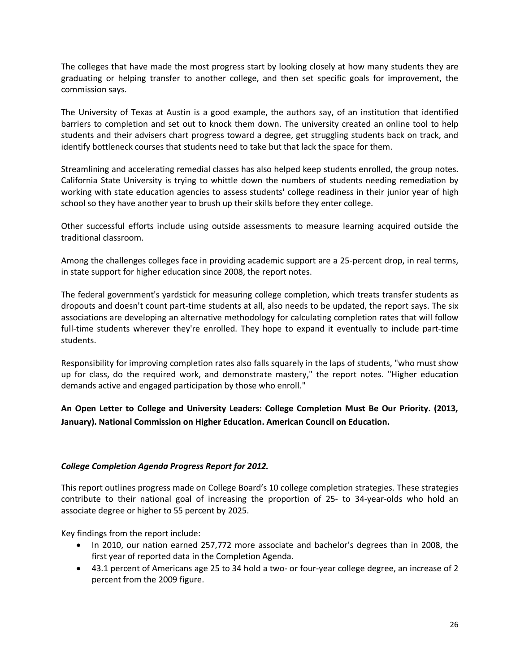The colleges that have made the most progress start by looking closely at how many students they are graduating or helping transfer to another college, and then set specific goals for improvement, the commission says.

The University of Texas at Austin is a good example, the authors say, of an institution that identified barriers to completion and set out to knock them down. The university created an online tool to help students and their advisers chart progress toward a degree, get struggling students back on track, and identify bottleneck courses that students need to take but that lack the space for them.

Streamlining and accelerating remedial classes has also helped keep students enrolled, the group notes. California State University is trying to whittle down the numbers of students needing remediation by working with state education agencies to assess students' college readiness in their junior year of high school so they have another year to brush up their skills before they enter college.

Other successful efforts include using outside assessments to measure learning acquired outside the traditional classroom.

Among the challenges colleges face in providing academic support are a 25-percent drop, in real terms, in state support for higher education since 2008, the report notes.

The federal government's yardstick for measuring college completion, which treats transfer students as dropouts and doesn't count part-time students at all, also needs to be updated, the report says. The six associations are developing an alternative methodology for calculating completion rates that will follow full-time students wherever they're enrolled. They hope to expand it eventually to include part-time students.

Responsibility for improving completion rates also falls squarely in the laps of students, "who must show up for class, do the required work, and demonstrate mastery," the report notes. "Higher education demands active and engaged participation by those who enroll."

**An Open Letter to College and University Leaders: College Completion Must Be Our Priority. (2013, January). National Commission on Higher Education. American Council on Education.**

### *College Completion Agenda Progress Report for 2012.*

This report outlines progress made on College Board's 10 college completion strategies. These strategies contribute to their national goal of increasing the proportion of 25- to 34-year-olds who hold an associate degree or higher to 55 percent by 2025.

Key findings from the report include:

- In 2010, our nation earned 257,772 more associate and bachelor's degrees than in 2008, the first year of reported data in the Completion Agenda.
- 43.1 percent of Americans age 25 to 34 hold a two- or four-year college degree, an increase of 2 percent from the 2009 figure.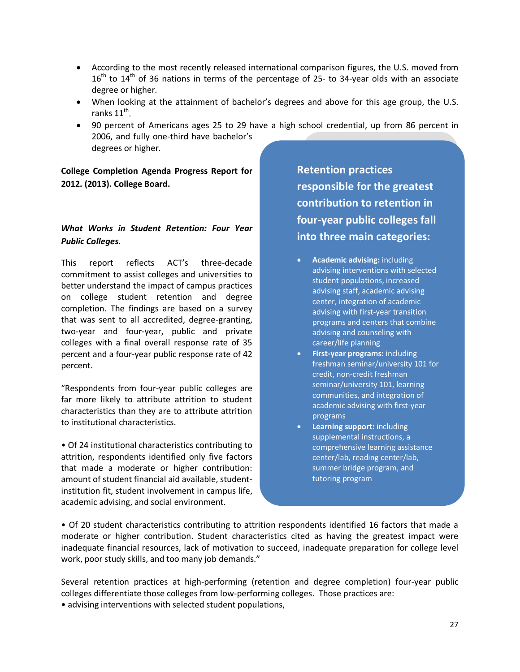- According to the most recently released international comparison figures, the U.S. moved from  $16<sup>th</sup>$  to  $14<sup>th</sup>$  of 36 nations in terms of the percentage of 25- to 34-year olds with an associate degree or higher.
- When looking at the attainment of bachelor's degrees and above for this age group, the U.S. ranks  $11^{th}$ .
- 90 percent of Americans ages 25 to 29 have a high school credential, up from 86 percent in 2006, and fully one-third have bachelor's degrees or higher.

**College Completion Agenda Progress Report for 2012. (2013). College Board.**

## *What Works in Student Retention: Four Year Public Colleges.*

This report reflects ACT's three-decade commitment to assist colleges and universities to better understand the impact of campus practices on college student retention and degree completion. The findings are based on a survey that was sent to all accredited, degree-granting, two-year and four-year, public and private colleges with a final overall response rate of 35 percent and a four-year public response rate of 42 percent.

"Respondents from four-year public colleges are far more likely to attribute attrition to student characteristics than they are to attribute attrition to institutional characteristics.

• Of 24 institutional characteristics contributing to attrition, respondents identified only five factors that made a moderate or higher contribution: amount of student financial aid available, studentinstitution fit, student involvement in campus life, academic advising, and social environment.

**Retention practices responsible for the greatest contribution to retention in four-year public colleges fall into three main categories:**

- **Academic advising:** including advising interventions with selected student populations, increased advising staff, academic advising center, integration of academic advising with first-year transition programs and centers that combine advising and counseling with career/life planning
- **First-year programs:** including freshman seminar/university 101 for credit, non-credit freshman seminar/university 101, learning communities, and integration of academic advising with first-year programs
- **Learning support:** including supplemental instructions, a comprehensive learning assistance center/lab, reading center/lab, summer bridge program, and tutoring program

• Of 20 student characteristics contributing to attrition respondents identified 16 factors that made a moderate or higher contribution. Student characteristics cited as having the greatest impact were inadequate financial resources, lack of motivation to succeed, inadequate preparation for college level work, poor study skills, and too many job demands."

Several retention practices at high-performing (retention and degree completion) four-year public colleges differentiate those colleges from low-performing colleges. Those practices are:

• advising interventions with selected student populations,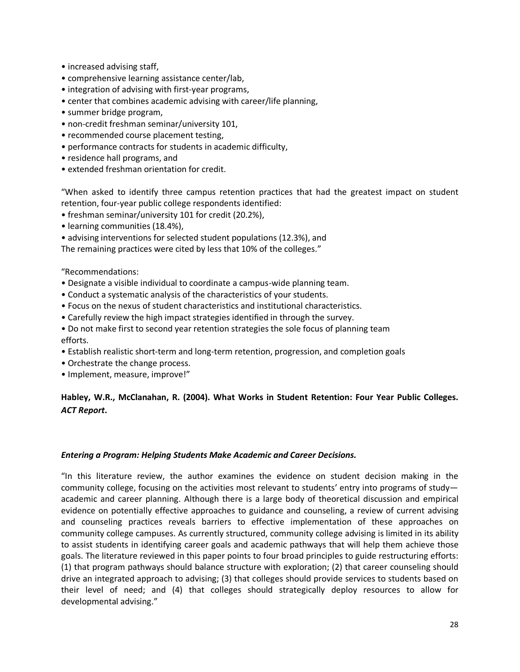- increased advising staff,
- comprehensive learning assistance center/lab,
- integration of advising with first-year programs,
- center that combines academic advising with career/life planning,
- summer bridge program,
- non-credit freshman seminar/university 101,
- recommended course placement testing,
- performance contracts for students in academic difficulty,
- residence hall programs, and
- extended freshman orientation for credit.

"When asked to identify three campus retention practices that had the greatest impact on student retention, four-year public college respondents identified:

- freshman seminar/university 101 for credit (20.2%),
- learning communities (18.4%),
- advising interventions for selected student populations (12.3%), and

The remaining practices were cited by less that 10% of the colleges."

"Recommendations:

- Designate a visible individual to coordinate a campus-wide planning team.
- Conduct a systematic analysis of the characteristics of your students.
- Focus on the nexus of student characteristics and institutional characteristics.
- Carefully review the high impact strategies identified in through the survey.
- Do not make first to second year retention strategies the sole focus of planning team efforts.
- Establish realistic short-term and long-term retention, progression, and completion goals
- Orchestrate the change process.
- Implement, measure, improve!"

## **Habley, W.R., McClanahan, R. (2004). What Works in Student Retention: Four Year Public Colleges.**  *ACT Report***.**

### *Entering a Program: Helping Students Make Academic and Career Decisions.*

"In this literature review, the author examines the evidence on student decision making in the community college, focusing on the activities most relevant to students' entry into programs of study academic and career planning. Although there is a large body of theoretical discussion and empirical evidence on potentially effective approaches to guidance and counseling, a review of current advising and counseling practices reveals barriers to effective implementation of these approaches on community college campuses. As currently structured, community college advising is limited in its ability to assist students in identifying career goals and academic pathways that will help them achieve those goals. The literature reviewed in this paper points to four broad principles to guide restructuring efforts: (1) that program pathways should balance structure with exploration; (2) that career counseling should drive an integrated approach to advising; (3) that colleges should provide services to students based on their level of need; and (4) that colleges should strategically deploy resources to allow for developmental advising."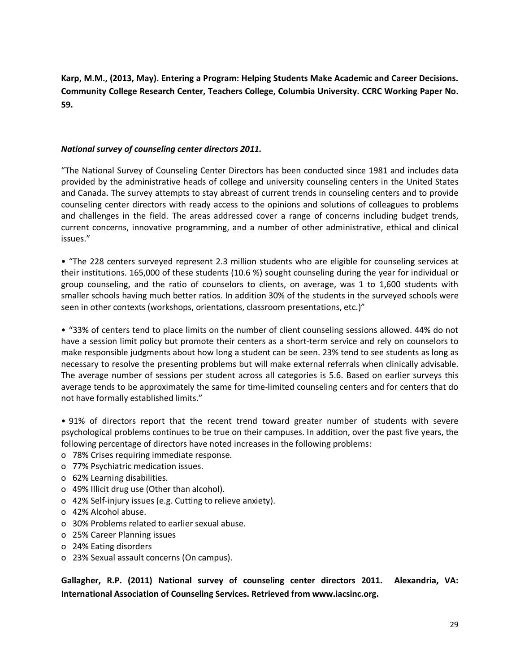**Karp, M.M., (2013, May). Entering a Program: Helping Students Make Academic and Career Decisions. Community College Research Center, Teachers College, Columbia University. CCRC Working Paper No. 59.**

### *National survey of counseling center directors 2011.*

"The National Survey of Counseling Center Directors has been conducted since 1981 and includes data provided by the administrative heads of college and university counseling centers in the United States and Canada. The survey attempts to stay abreast of current trends in counseling centers and to provide counseling center directors with ready access to the opinions and solutions of colleagues to problems and challenges in the field. The areas addressed cover a range of concerns including budget trends, current concerns, innovative programming, and a number of other administrative, ethical and clinical issues."

• "The 228 centers surveyed represent 2.3 million students who are eligible for counseling services at their institutions. 165,000 of these students (10.6 %) sought counseling during the year for individual or group counseling, and the ratio of counselors to clients, on average, was 1 to 1,600 students with smaller schools having much better ratios. In addition 30% of the students in the surveyed schools were seen in other contexts (workshops, orientations, classroom presentations, etc.)"

• "33% of centers tend to place limits on the number of client counseling sessions allowed. 44% do not have a session limit policy but promote their centers as a short-term service and rely on counselors to make responsible judgments about how long a student can be seen. 23% tend to see students as long as necessary to resolve the presenting problems but will make external referrals when clinically advisable. The average number of sessions per student across all categories is 5.6. Based on earlier surveys this average tends to be approximately the same for time-limited counseling centers and for centers that do not have formally established limits."

• 91% of directors report that the recent trend toward greater number of students with severe psychological problems continues to be true on their campuses. In addition, over the past five years, the following percentage of directors have noted increases in the following problems:

- o 78% Crises requiring immediate response.
- o 77% Psychiatric medication issues.
- o 62% Learning disabilities.
- o 49% Illicit drug use (Other than alcohol).
- o 42% Self-injury issues (e.g. Cutting to relieve anxiety).
- o 42% Alcohol abuse.
- o 30% Problems related to earlier sexual abuse.
- o 25% Career Planning issues
- o 24% Eating disorders
- o 23% Sexual assault concerns (On campus).

**Gallagher, R.P. (2011) National survey of counseling center directors 2011. Alexandria, VA: International Association of Counseling Services. Retrieved from www.iacsinc.org.**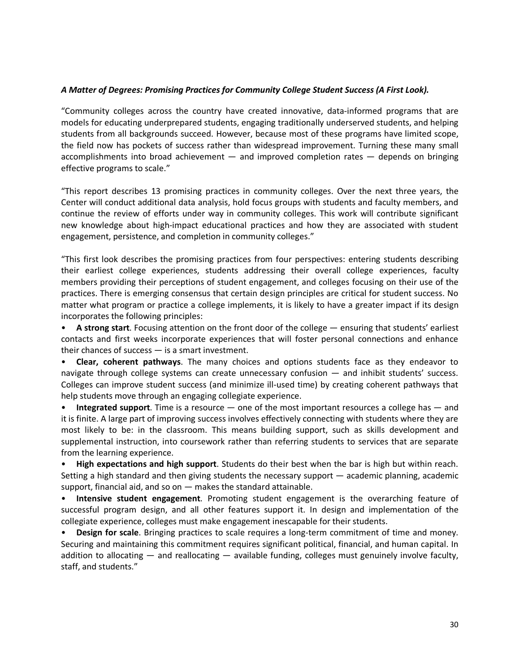### *A Matter of Degrees: Promising Practices for Community College Student Success (A First Look).*

"Community colleges across the country have created innovative, data-informed programs that are models for educating underprepared students, engaging traditionally underserved students, and helping students from all backgrounds succeed. However, because most of these programs have limited scope, the field now has pockets of success rather than widespread improvement. Turning these many small accomplishments into broad achievement — and improved completion rates — depends on bringing effective programs to scale."

"This report describes 13 promising practices in community colleges. Over the next three years, the Center will conduct additional data analysis, hold focus groups with students and faculty members, and continue the review of efforts under way in community colleges. This work will contribute significant new knowledge about high-impact educational practices and how they are associated with student engagement, persistence, and completion in community colleges."

"This first look describes the promising practices from four perspectives: entering students describing their earliest college experiences, students addressing their overall college experiences, faculty members providing their perceptions of student engagement, and colleges focusing on their use of the practices. There is emerging consensus that certain design principles are critical for student success. No matter what program or practice a college implements, it is likely to have a greater impact if its design incorporates the following principles:

• **A strong start**. Focusing attention on the front door of the college — ensuring that students' earliest contacts and first weeks incorporate experiences that will foster personal connections and enhance their chances of success — is a smart investment.

• **Clear, coherent pathways**. The many choices and options students face as they endeavor to navigate through college systems can create unnecessary confusion — and inhibit students' success. Colleges can improve student success (and minimize ill-used time) by creating coherent pathways that help students move through an engaging collegiate experience.

• **Integrated support**. Time is a resource — one of the most important resources a college has — and it is finite. A large part of improving success involves effectively connecting with students where they are most likely to be: in the classroom. This means building support, such as skills development and supplemental instruction, into coursework rather than referring students to services that are separate from the learning experience.

• **High expectations and high support**. Students do their best when the bar is high but within reach. Setting a high standard and then giving students the necessary support — academic planning, academic support, financial aid, and so on — makes the standard attainable.

• **Intensive student engagement**. Promoting student engagement is the overarching feature of successful program design, and all other features support it. In design and implementation of the collegiate experience, colleges must make engagement inescapable for their students.

• **Design for scale**. Bringing practices to scale requires a long-term commitment of time and money. Securing and maintaining this commitment requires significant political, financial, and human capital. In addition to allocating  $-$  and reallocating  $-$  available funding, colleges must genuinely involve faculty, staff, and students."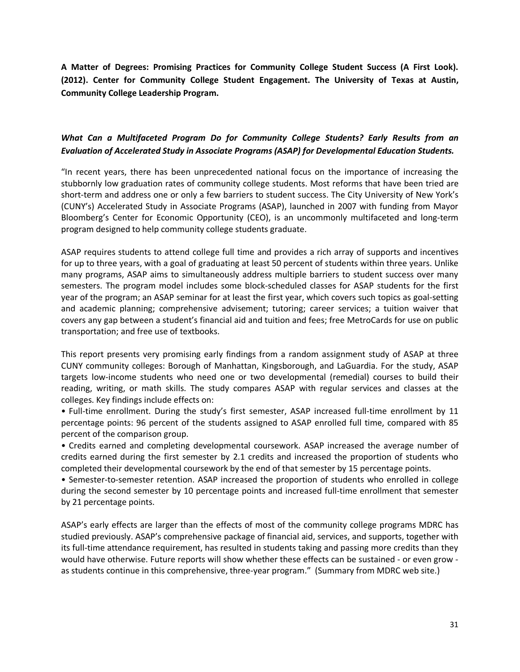**A Matter of Degrees: Promising Practices for Community College Student Success (A First Look). (2012). Center for Community College Student Engagement. The University of Texas at Austin, Community College Leadership Program.**

## *What Can a Multifaceted Program Do for Community College Students? Early Results from an Evaluation of Accelerated Study in Associate Programs (ASAP) for Developmental Education Students.*

"In recent years, there has been unprecedented national focus on the importance of increasing the stubbornly low graduation rates of community college students. Most reforms that have been tried are short-term and address one or only a few barriers to student success. The City University of New York's (CUNY's) Accelerated Study in Associate Programs (ASAP), launched in 2007 with funding from Mayor Bloomberg's Center for Economic Opportunity (CEO), is an uncommonly multifaceted and long-term program designed to help community college students graduate.

ASAP requires students to attend college full time and provides a rich array of supports and incentives for up to three years, with a goal of graduating at least 50 percent of students within three years. Unlike many programs, ASAP aims to simultaneously address multiple barriers to student success over many semesters. The program model includes some block-scheduled classes for ASAP students for the first year of the program; an ASAP seminar for at least the first year, which covers such topics as goal-setting and academic planning; comprehensive advisement; tutoring; career services; a tuition waiver that covers any gap between a student's financial aid and tuition and fees; free MetroCards for use on public transportation; and free use of textbooks.

This report presents very promising early findings from a random assignment study of ASAP at three CUNY community colleges: Borough of Manhattan, Kingsborough, and LaGuardia. For the study, ASAP targets low-income students who need one or two developmental (remedial) courses to build their reading, writing, or math skills. The study compares ASAP with regular services and classes at the colleges. Key findings include effects on:

• Full-time enrollment. During the study's first semester, ASAP increased full-time enrollment by 11 percentage points: 96 percent of the students assigned to ASAP enrolled full time, compared with 85 percent of the comparison group.

• Credits earned and completing developmental coursework. ASAP increased the average number of credits earned during the first semester by 2.1 credits and increased the proportion of students who completed their developmental coursework by the end of that semester by 15 percentage points.

• Semester-to-semester retention. ASAP increased the proportion of students who enrolled in college during the second semester by 10 percentage points and increased full-time enrollment that semester by 21 percentage points.

ASAP's early effects are larger than the effects of most of the community college programs MDRC has studied previously. ASAP's comprehensive package of financial aid, services, and supports, together with its full-time attendance requirement, has resulted in students taking and passing more credits than they would have otherwise. Future reports will show whether these effects can be sustained - or even grow as students continue in this comprehensive, three-year program." (Summary from MDRC web site.)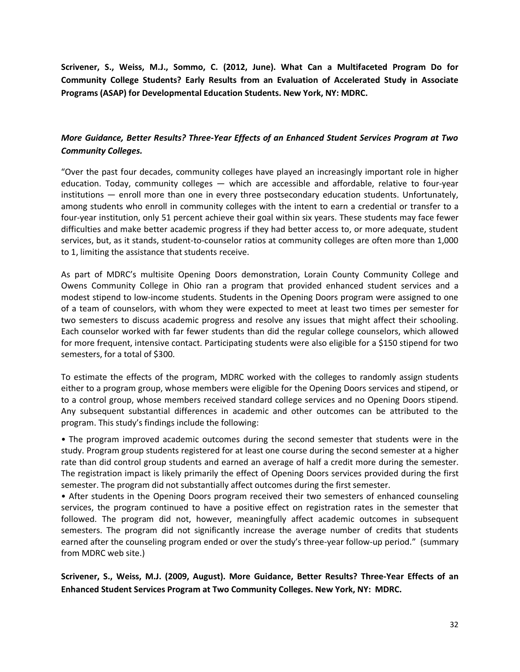**Scrivener, S., Weiss, M.J., Sommo, C. (2012, June). What Can a Multifaceted Program Do for Community College Students? Early Results from an Evaluation of Accelerated Study in Associate Programs (ASAP) for Developmental Education Students. New York, NY: MDRC.**

## *More Guidance, Better Results? Three-Year Effects of an Enhanced Student Services Program at Two Community Colleges.*

"Over the past four decades, community colleges have played an increasingly important role in higher education. Today, community colleges — which are accessible and affordable, relative to four-year institutions — enroll more than one in every three postsecondary education students. Unfortunately, among students who enroll in community colleges with the intent to earn a credential or transfer to a four-year institution, only 51 percent achieve their goal within six years. These students may face fewer difficulties and make better academic progress if they had better access to, or more adequate, student services, but, as it stands, student-to-counselor ratios at community colleges are often more than 1,000 to 1, limiting the assistance that students receive.

As part of MDRC's multisite Opening Doors demonstration, Lorain County Community College and Owens Community College in Ohio ran a program that provided enhanced student services and a modest stipend to low-income students. Students in the Opening Doors program were assigned to one of a team of counselors, with whom they were expected to meet at least two times per semester for two semesters to discuss academic progress and resolve any issues that might affect their schooling. Each counselor worked with far fewer students than did the regular college counselors, which allowed for more frequent, intensive contact. Participating students were also eligible for a \$150 stipend for two semesters, for a total of \$300.

To estimate the effects of the program, MDRC worked with the colleges to randomly assign students either to a program group, whose members were eligible for the Opening Doors services and stipend, or to a control group, whose members received standard college services and no Opening Doors stipend. Any subsequent substantial differences in academic and other outcomes can be attributed to the program. This study's findings include the following:

• The program improved academic outcomes during the second semester that students were in the study. Program group students registered for at least one course during the second semester at a higher rate than did control group students and earned an average of half a credit more during the semester. The registration impact is likely primarily the effect of Opening Doors services provided during the first semester. The program did not substantially affect outcomes during the first semester.

• After students in the Opening Doors program received their two semesters of enhanced counseling services, the program continued to have a positive effect on registration rates in the semester that followed. The program did not, however, meaningfully affect academic outcomes in subsequent semesters. The program did not significantly increase the average number of credits that students earned after the counseling program ended or over the study's three-year follow-up period." (summary from MDRC web site.)

**Scrivener, S., Weiss, M.J. (2009, August). More Guidance, Better Results? Three-Year Effects of an Enhanced Student Services Program at Two Community Colleges. New York, NY: MDRC.**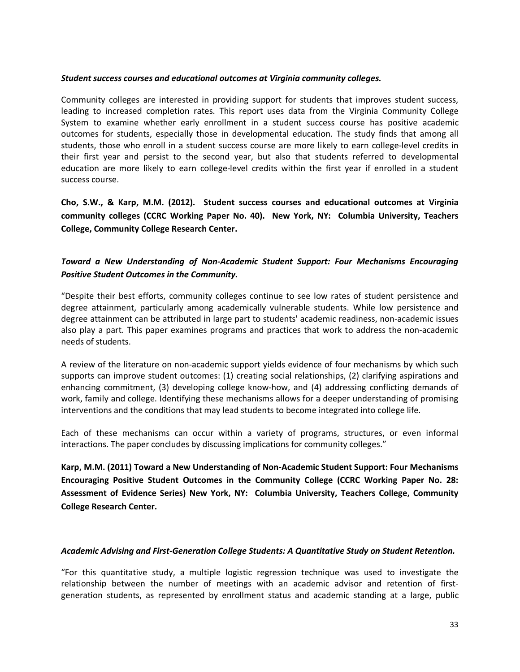#### *Student success courses and educational outcomes at Virginia community colleges.*

Community colleges are interested in providing support for students that improves student success, leading to increased completion rates. This report uses data from the Virginia Community College System to examine whether early enrollment in a student success course has positive academic outcomes for students, especially those in developmental education. The study finds that among all students, those who enroll in a student success course are more likely to earn college-level credits in their first year and persist to the second year, but also that students referred to developmental education are more likely to earn college-level credits within the first year if enrolled in a student success course.

**Cho, S.W., & Karp, M.M. (2012). Student success courses and educational outcomes at Virginia community colleges (CCRC Working Paper No. 40). New York, NY: Columbia University, Teachers College, Community College Research Center.**

## *Toward a New Understanding of Non-Academic Student Support: Four Mechanisms Encouraging Positive Student Outcomes in the Community.*

"Despite their best efforts, community colleges continue to see low rates of student persistence and degree attainment, particularly among academically vulnerable students. While low persistence and degree attainment can be attributed in large part to students' academic readiness, non-academic issues also play a part. This paper examines programs and practices that work to address the non-academic needs of students.

A review of the literature on non-academic support yields evidence of four mechanisms by which such supports can improve student outcomes: (1) creating social relationships, (2) clarifying aspirations and enhancing commitment, (3) developing college know-how, and (4) addressing conflicting demands of work, family and college. Identifying these mechanisms allows for a deeper understanding of promising interventions and the conditions that may lead students to become integrated into college life.

Each of these mechanisms can occur within a variety of programs, structures, or even informal interactions. The paper concludes by discussing implications for community colleges."

**Karp, M.M. (2011) Toward a New Understanding of Non-Academic Student Support: Four Mechanisms Encouraging Positive Student Outcomes in the Community College (CCRC Working Paper No. 28: Assessment of Evidence Series) New York, NY: Columbia University, Teachers College, Community College Research Center.**

### *Academic Advising and First-Generation College Students: A Quantitative Study on Student Retention.*

"For this quantitative study, a multiple logistic regression technique was used to investigate the relationship between the number of meetings with an academic advisor and retention of firstgeneration students, as represented by enrollment status and academic standing at a large, public